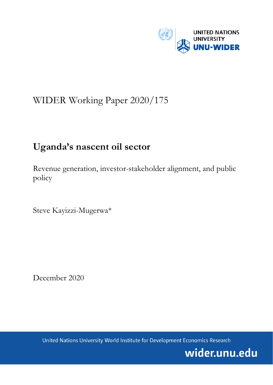

# WIDER Working Paper 2020/175

# **Uganda's nascent oil sector**

Revenue generation, investor-stakeholder alignment, and public policy

Steve Kayizzi-Mugerwa\*

December 2020

United Nations University World Institute for Development Economics Research

wider.unu.edu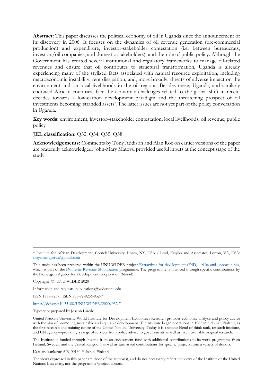**Abstract:** This paper discusses the political economy of oil in Uganda since the announcement of its discovery in 2006. It focuses on the dynamics of oil revenue generation (pre-commercial production) and expenditure, investor-stakeholder contestation (i.e. between bureaucrats, investors/oil companies, and domestic stakeholders), and the role of public policy. Although the Government has created several institutional and regulatory frameworks to manage oil-related revenues and ensure that oil contributes to structural transformation, Uganda is already experiencing many of the stylized facts associated with natural resource exploitation, including macroeconomic instability, rent dissipation, and, more broadly, threats of adverse impact on the environment and on local livelihoods in the oil regions. Besides these, Uganda, and similarly endowed African countries, face the economic challenges related to the global shift in recent decades towards a low-carbon development paradigm and the threatening prospect of oil investments becoming 'stranded assets'. The latter issues are not yet part of the policy conversation in Uganda.

**Key words:** environment, investor–stakeholder contestation, local livelihoods, oil revenue, public policy

### **JEL classification:** Q32, Q34, Q35, Q38

**Acknowledgements:** Comments by Tony Addison and Alan Roe on earlier versions of the paper are gratefully acknowledged. John-Mary Matovu provided useful inputs at the concept stage of the study.

Copyright © UNU-WIDER 2020

Information and requests: publications@wider.unu.edu

ISSN 1798-7237 ISBN 978-92-9256-932-7

<https://doi.org/10.35188/UNU-WIDER/2020/932-7>

Typescript prepared by Joseph Laredo.

The Institute is funded through income from an endowment fund with additional contributions to its work programme from Finland, Sweden, and the United Kingdom as well as earmarked contributions for specific projects from a variety of donors.

Katajanokanlaituri 6 B, 00160 Helsinki, Finland

The views expressed in this paper are those of the author(s), and do not necessarily reflect the views of the Institute or the United Nations University, nor the programme/project donors.

<sup>\*</sup> Institute for African Development, Cornell University, Ithaca, NY, USA / Lead, Zziyika and Associates, Lorton, VA, USA: [skayizzimugerwa@gmail.com](mailto:skayizzimugerwa@gmail.com)

This study has been prepared within the UNU-WIDER project [Extractives for development \(E4D\)—risks and opportunities,](https://www.wider.unu.edu/node/237299)  which is part of the [Domestic Revenue Mobilization](https://www.wider.unu.edu/node/237587) programme. The programme is financed through specific contributions by the Norwegian Agency for Development Cooperation (Norad).

United Nations University World Institute for Development Economics Research provides economic analysis and policy advice with the aim of promoting sustainable and equitable development. The Institute began operations in 1985 in Helsinki, Finland, as the first research and training centre of the United Nations University. Today it is a unique blend of think tank, research institute, and UN agency—providing a range of services from policy advice to governments as well as freely available original research.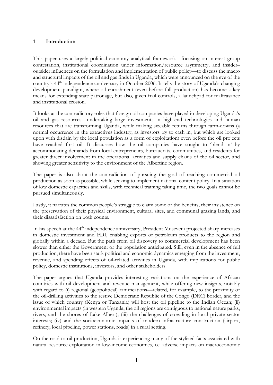# **1 Introduction**

This paper uses a largely political economy analytical framework—focusing on interest group contestation, institutional coordination under information/resource asymmetry, and insider– outsider influences on the formulation and implementation of public policy—to discuss the macro and structural impacts of the oil and gas finds in Uganda, which were announced on the eve of the country's 44<sup>th</sup> independence anniversary in October 2006. It tells the story of Uganda's changing development paradigm, where oil encashment (even before full production) has become a key means for extending state patronage, but also, given frail controls, a launchpad for malfeasance and institutional erosion.

It looks at the contradictory roles that foreign oil companies have played in developing Uganda's oil and gas resources—undertaking large investments in high-end technologies and human resources that are transforming Uganda, while making sizeable returns through farm-downs (a normal occurrence in the extractives industry, as investors try to cash in, but which are looked upon with disdain by the local population as a form of exploitation) even before the oil projects have reached first oil. It discusses how the oil companies have sought to 'blend in' by accommodating demands from local entrepreneurs, bureaucrats, communities, and residents for greater direct involvement in the operational activities and supply chains of the oil sector, and showing greater sensitivity to the environment of the Albertine region.

The paper is also about the contradiction of pursuing the goal of reaching commercial oil production as soon as possible, while seeking to implement national content policy. In a situation of low domestic capacities and skills, with technical training taking time, the two goals cannot be pursued simultaneously.

Lastly, it narrates the common people's struggle to claim some of the benefits, their insistence on the preservation of their physical environment, cultural sites, and communal grazing lands, and their dissatisfaction on both counts.

In his speech at the 44<sup>th</sup> independence anniversary, President Museveni projected sharp increases in domestic investment and FDI, enabling exports of petroleum products to the region and globally within a decade. But the path from oil discovery to commercial development has been slower than either the Government or the population anticipated. Still, even in the absence of full production, there have been stark political and economic dynamics emerging from the investment, revenue, and spending effects of oil-related activities in Uganda, with implications for public policy, domestic institutions, investors, and other stakeholders.

The paper argues that Uganda provides interesting variations on the experience of African countries with oil development and revenue management, while offering new insights, notably with regard to (i) regional (geopolitical) ramifications—related, for example, to the proximity of the oil-drilling activities to the restive Democratic Republic of the Congo (DRC) border, and the issue of which country (Kenya or Tanzania) will host the oil pipeline to the Indian Ocean; (ii) environmental impacts (in western Uganda, the oil regions are contiguous to national nature parks, rivers, and the shores of Lake Albert); (iii) the challenges of crowding in local private sector interests; (iv) and the socioeconomic impacts of modern infrastructure construction (airport, refinery, local pipeline, power stations, roads) in a rural setting.

On the road to oil production, Uganda is experiencing many of the stylized facts associated with natural resource exploitation in low-income economies, i.e. adverse impacts on macroeconomic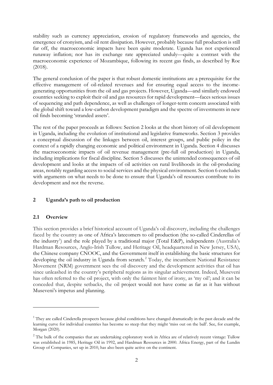stability such as currency appreciation, erosion of regulatory frameworks and agencies, the emergence of cronyism, and oil rent dissipation. However, probably because full production is still far off, the macroeconomic impacts have been quite moderate. Uganda has not experienced runaway inflation; nor has its exchange rate appreciated unduly—quite a contrast with the macroeconomic experience of Mozambique, following its recent gas finds, as described by Roe (2018).

The general conclusion of the paper is that robust domestic institutions are a prerequisite for the effective management of oil-related revenues and for ensuring equal access to the incomegenerating opportunities from the oil and gas projects. However, Uganda—and similarly endowed countries seeking to exploit their oil and gas resources for rapid development—faces serious issues of sequencing and path dependence, as well as challenges of longer-term concern associated with the global shift toward a low-carbon development paradigm and the spectre of investments in new oil finds becoming 'stranded assets'.

The rest of the paper proceeds as follows: Section 2 looks at the short history of oil development in Uganda, including the evolution of institutional and legislative frameworks. Section 3 provides a conceptual discussion of the linkages between oil, interest groups, and public policy in the context of a rapidly changing economic and political environment in Uganda. Section 4 discusses the macroeconomic impacts of oil revenue management (pre-full oil production) in Uganda, including implications for fiscal discipline. Section 5 discusses the unintended consequences of oil development and looks at the impacts of oil activities on rural livelihoods in the oil-producing areas, notably regarding access to social services and the physical environment. Section 6 concludes with arguments on what needs to be done to ensure that Uganda's oil resources contribute to its development and not the reverse.

# **2 Uganda's path to oil production**

# **2.1 Overview**

This section provides a brief historical account of Uganda's oil discovery, including the challenges faced by the country as one of Africa's latecomers to oil production (the so-called Cinderellas of the industry<sup>[1](#page-3-0)</sup>) and the role played by a traditional major (Total E&P), independents (Australia's Hardman Resources, Anglo-Irish Tullow, and Heritage Oil, headquartered in New Jersey, USA), the Chinese company CNOOC, and the Government itself in establishing the basic structures for developing the oil industry in Uganda from scratch. [2](#page-3-1) Today, the incumbent National Resistance Movement (NRM) government sees the oil discovery and the development activities that oil has since unleashed in the country's peripheral regions as its singular achievement. Indeed, Museveni has often referred to the oil project, with only the faintest hint of irony, as 'my oil'; and it can be conceded that, despite setbacks, the oil project would not have come as far as it has without Museveni's impetus and planning.

<span id="page-3-0"></span> $1$  They are called Cinderella prospects because global conditions have changed dramatically in the past decade and the learning curve for individual countries has become so steep that they might 'miss out on the ball'. See, for example, Morgan (2020).

<span id="page-3-1"></span><sup>&</sup>lt;sup>2</sup> The bulk of the companies that are undertaking exploratory work in Africa are of relatively recent vintage: Tullow was established in 1985, Heritage Oil in 1992, and Hardman Resources in 2000. Africa Energy, part of the Lundin Group of Companies, set up in 2010, has also been quite active on the continent.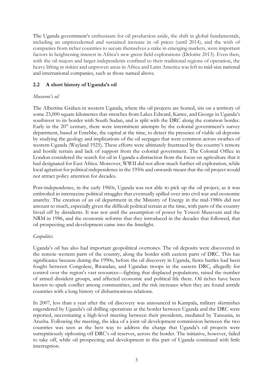The Uganda government's enthusiasm for oil production aside, the shift in global fundamentals, including an unprecedented and sustained increase in oil prices (until 2014), and the wish of companies from richer countries to secure themselves a stake in emerging markets, were important factors in heightening interest in Africa's new green field explorations (Deloitte 2013). Even then, with the oil majors and larger independents confined to their traditional regions of operation, the heavy lifting in riskier and unproven areas in Africa and Latin America was left to mid-size national and international companies, such as those named above.

# **2.2 A short history of Uganda's oil**

# *Museveni's oil*

The Albertine Graben in western Uganda, where the oil projects are hosted, sits on a territory of some 23,000 square kilometres that stretches from Lakes Edward, Katwe, and George in Uganda's southwest to its border with South Sudan, and is split with the DRC along the common border. Early in the  $20<sup>th</sup>$  century, there were intermittent attempts by the colonial government's survey department, based at Entebbe, the capital at the time, to detect the presence of viable oil deposits by studying the geology and implications of the oil seepages that were common across swathes of western Uganda (Wayland 1925). These efforts were ultimately frustrated by the country's remote and hostile terrain and lack of support from the colonial government. The Colonial Office in London considered the search for oil in Uganda a distraction from the focus on agriculture that it had designated for East Africa. Moreover, WWII did not allow much further oil exploration, while local agitation for political independence in the 1950s and onwards meant that the oil project would not attract policy attention for decades.

Post-independence, in the early 1960s, Uganda was not able to pick up the oil project, as it was embroiled in internecine political struggles that eventually spilled over into civil war and economic anarchy. The creation of an oil department in the Ministry of Energy in the mid-1980s did not amount to much, especially given the difficult political terrain at the time, with parts of the country hived off by dissidents. It was not until the assumption of power by Yoweri Museveni and the NRM in 1986, and the economic reforms that they introduced in the decades that followed, that oil prospecting and development came into the limelight.

# *Geopolitics*

Uganda's oil has also had important geopolitical overtones. The oil deposits were discovered in the remote western parts of the country, along the border with eastern parts of DRC. This has significance because during the 1990s, before the oil discovery in Uganda, fierce battles had been fought between Congolese, Rwandan, and Ugandan troops in the eastern DRC, allegedly for control over the region's vast resources—fighting that displaced populations, raised the number of armed dissident groups, and affected economic and political life there. Oil riches have been known to spark conflict among communities, and the risk increases when they are found astride countries with a long history of disharmonious relations.

In 2007, less than a year after the oil discovery was announced in Kampala, military skirmishes engendered by Uganda's oil drilling operations at the border between Uganda and the DRC were reported, necessitating a high-level meeting between their presidents, mediated by Tanzania, in Arusha. Following the meeting, the idea of a joint oil development commission between the two countries was seen as the best way to address the charge that Uganda's oil projects were surreptitiously siphoning off DRC's oil reserves, across the border. The initiative, however, failed to take off, while oil prospecting and development in this part of Uganda continued with little interruption.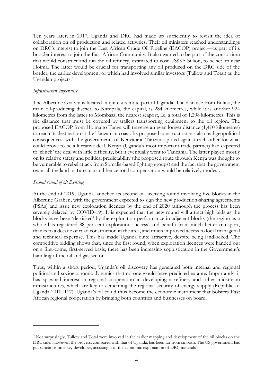Ten years later, in 2017, Uganda and DRC had made up sufficiently to revisit the idea of collaboration on oil production and related activities. Their oil ministers reached understandings on DRC's interest to join the East African Crude Oil Pipeline (EACOP) project—as part of its broader interest to join the East African Community. It also wanted to be part of the consortium that would construct and run the oil refinery, estimated to cost US\$3.5 billion, to be set up near Hoima. The latter would be crucial for transporting any oil produced on the DRC side of the border, the earlier development of which had involved similar investors (Tullow and Total) as the Ugandan projects. [3](#page-5-0)

### *Infrastructure imperative*

The Albertine Graben is located in quite a remote part of Uganda. The distance from Buliisa, the main oil-producing district, to Kampala, the capital, is 284 kilometres, while it is another 924 kilometres from the latter to Mombasa, the nearest seaport, i.e. a total of 1,208 kilometres. This is the distance that must be covered by trailers transporting equipment to the oil region. The proposed EACOP from Hoima to Tanga will traverse an even longer distance (1,410 kilometres) to reach its destination at the Tanzanian coast. Its proposed construction has also had geopolitical consequences, with the governments of Kenya and Tanzania pitted against each other for what could prove to be a lucrative deal. Kenya (Uganda's most important trade partner) had expected to 'clinch' the deal with little difficulty, but it eventually went to Tanzania. The latter played mostly on its relative safety and political predictability (the proposed route through Kenya was thought to be vulnerable to rebel attack from Somalia-based fighting groups) and the fact that the government owns all the land in Tanzania and hence total compensation would be relatively modest.

### *Second round of oil licensing*

At the end of 2019, Uganda launched its second oil licensing round involving five blocks in the Albertine Graben, with the government expected to sign the new production-sharing agreements (PSAs) and issue new exploration licences by the end of 2020 (although the process has been severely delayed by COVID-19). It is expected that the new round will attract high bids as the blocks have been 'de-risked' by the exploration performance in adjacent blocks (the region as a whole has registered 88 per cent exploration success) and benefit from much better transport, thanks to a decade of road construction in the area, and much improved access to local managerial and technical expertise. This has made Uganda quite attractive, despite being landlocked. The competitive bidding shows that, since the first round, when exploration licences were handed out on a first-come, first-served basis, there has been increasing sophistication in the Government's handling of the oil and gas sector.

Thus, within a short period, Uganda's oil discovery has generated both internal and regional political and socioeconomic dynamics that no one would have predicted ex ante. Importantly, it has spawned interest in regional cooperation in developing a refinery and other midstream infrastructures, which are key to cementing the regional security of energy supply (Republic of Uganda 2010: 117). Uganda's oil could thus become the economic instrument that bolsters East African regional cooperation by bringing both countries and businesses on board.

<span id="page-5-0"></span><sup>&</sup>lt;sup>3</sup> Not surprisingly, Tullow and Total were involved in the earlier mapping and development of the oil blocks on the DRC side. However, the process, compared with that of Uganda, has been far from smooth. The US government has put sanctions on a key developer, accusing it of the economic exploitation of DRC minerals.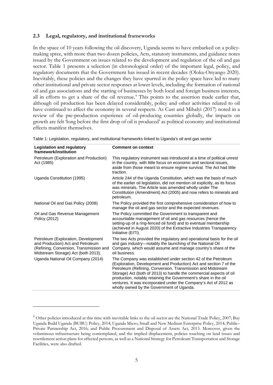### **2.3 Legal, regulatory, and institutional frameworks**

In the space of 10 years following the oil discovery, Uganda seems to have embarked on a policymaking spree, with more than two dozen policies, Acts, statutory instruments, and guidance notes issued by the Government on issues related to the development and regulation of the oil and gas sector. Table 1 presents a selection (in chronological order) of the important legal, policy, and regulatory documents that the Government has issued in recent decades (Oloka-Onyango 2020). Inevitably, these policies and the changes they have spurred in the policy space have led to many other institutional and private sector responses at lower levels, including the formation of national oil and gas associations and the starting of businesses by both local and foreign business interests, all in efforts to get a share of the oil revenue. [4](#page-6-0) This points to the assertion made earlier that, although oil production has been delayed considerably, policy and other activities related to oil have continued to affect the economy in several respects. As Cust and Mihalyi (2017) noted in a review of the pre-production experience of oil-producing countries globally, the impacts on growth are felt 'long before the first drop of oil is produced' as political economy and institutional effects manifest themselves.

| Legislation and regulatory<br>framework/institution                                                                                                        | <b>Comment on context</b>                                                                                                                                                                                                                                                                                                                                                                                                                                     |
|------------------------------------------------------------------------------------------------------------------------------------------------------------|---------------------------------------------------------------------------------------------------------------------------------------------------------------------------------------------------------------------------------------------------------------------------------------------------------------------------------------------------------------------------------------------------------------------------------------------------------------|
| Petroleum (Exploration and Production)<br>Act (1985)                                                                                                       | This regulatory instrument was introduced at a time of political unrest<br>in the country, with little focus on economic and sectoral issues,<br>aside from those meant to ensure regime survival. The Act had little<br>traction.                                                                                                                                                                                                                            |
| Uganda Constitution (1995)                                                                                                                                 | Article 244 of the Uganda Constitution, which was the basis of much<br>of the earlier oil legislation, did not mention oil explicitly, as its focus<br>was minerals. The Article was amended wholly under The<br>Constitution (Amendment) Act (2005) and now refers to minerals and<br>petroleum.                                                                                                                                                             |
| National Oil and Gas Policy (2008)                                                                                                                         | The Policy provided the first comprehensive consideration of how to<br>manage the oil and gas sector and the expected revenues.                                                                                                                                                                                                                                                                                                                               |
| Oil and Gas Revenue Management<br>Policy (2012)                                                                                                            | The Policy committed the Government to transparent and<br>accountable management of oil and gas resources (hence the<br>setting-up of a ring-fenced oil fund) and to eventual membership<br>(achieved in August 2020) of the Extractive Industries Transparency<br>Initiative (EITI).                                                                                                                                                                         |
| Petroleum (Exploration, Development<br>and Production) Act and Petroleum<br>(Refining, Conversion, Transmission and<br>Midstream Storage) Act (both 2013). | The two Acts provided the regulatory and operational basis for the oil<br>and gas industry-notably the launching of the National Oil<br>Company, which would assume and manage country's share of the<br>oil business.                                                                                                                                                                                                                                        |
| Uganda National Oil Company (2014)                                                                                                                         | The Company was established under section 42 of the Petroleum<br>(Exploration, Development and Production) Act and section 7 of the<br>Petroleum (Refining, Conversion, Transmission and Midstream<br>Storage) Act (both of 2013) to handle the commercial aspects of oil<br>production, notably retaining the Government's share in the oil<br>ventures. It was incorporated under the Company's Act of 2012 as<br>wholly owned by the Government of Uganda. |

Table 1: Legislation, regulatory, and institutional frameworks linked to Uganda's oil and gas sector

<span id="page-6-0"></span><sup>&</sup>lt;sup>4</sup> Other policies introduced at this time with inevitable links to the oil sector are the National Trade Policy, 2007; Buy Uganda Build Uganda (BUBU) Policy, 2014; Uganda Micro, Small and New Medium Enterprise Policy, 2014; Public– Private Partnership Act, 2016; and Public Procurement and Disposal of Assets Act, 2013. Moreover, given the voluminous infrastructure being contemplated, and the implied displacement, policies touching on land issues and resettlement action plans for affected persons, as well as a National Strategy for Petroleum Transportation and Storage Facilities, were also drafted.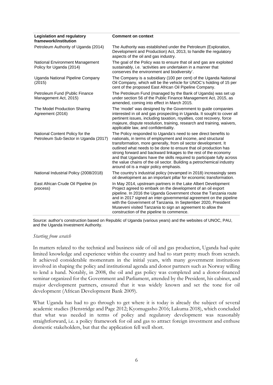| <b>Legislation and regulatory</b><br>framework/institution               | <b>Comment on context</b>                                                                                                                                                                                                                                                                                                                                                                                                                                                                                                              |  |
|--------------------------------------------------------------------------|----------------------------------------------------------------------------------------------------------------------------------------------------------------------------------------------------------------------------------------------------------------------------------------------------------------------------------------------------------------------------------------------------------------------------------------------------------------------------------------------------------------------------------------|--|
| Petroleum Authority of Uganda (2014)                                     | The Authority was established under the Petroleum (Exploration,<br>Development and Production) Act, 2013, to handle the regulatory<br>aspects of the oil and gas industry.                                                                                                                                                                                                                                                                                                                                                             |  |
| National Environment Management<br>Policy for Uganda (2014)              | The goal of the Policy was to ensure that oil and gas are exploited<br>sustainably, i.e. 'activities are undertaken in a manner that<br>conserves the environment and biodiversity'.                                                                                                                                                                                                                                                                                                                                                   |  |
| Uganda National Pipeline Company<br>(2015)                               | The Company is a subsidiary (100 per cent) of the Uganda National<br>Oil Company, which will be the vehicle for UNOC's holding of 15 per<br>cent of the proposed East African Oil Pipeline Company.                                                                                                                                                                                                                                                                                                                                    |  |
| Petroleum Fund (Public Finance<br>Management Act, 2015)                  | The Petroleum Fund (managed by the Bank of Uganda) was set up<br>under section 56 of the Public Finance Management Act, 2015, as<br>amended, coming into effect in March 2015.                                                                                                                                                                                                                                                                                                                                                         |  |
| The Model Production Sharing<br>Agreement (2016)                         | The 'model' was designed by the Government to guide companies<br>interested in oil and gas prospecting in Uganda. It sought to cover all<br>pertinent issues, including taxation, royalties, cost recovery, force<br>majeure, dispute resolution, training, research and training, waivers,<br>applicable law, and confidentiality.                                                                                                                                                                                                    |  |
| National Content Policy for the<br>Petroleum Sub-Sector in Uganda (2017) | The Policy responded to Uganda's need to see direct benefits to<br>nationals, in terms of employment and income, and structural<br>transformation, more generally, from oil sector development. It<br>outlined what needs to be done to ensure that oil production has<br>strong forward and backward linkages to the rest of the economy<br>and that Ugandans have the skills required to participate fully across<br>the value chains of the oil sector. Building a petrochemical industry<br>around oil is a major policy emphasis. |  |
| National Industrial Policy (2008/2018)                                   | The country's industrial policy (revamped in 2018) increasingly sees<br>oil development as an important pillar for economic transformation.                                                                                                                                                                                                                                                                                                                                                                                            |  |
| East African Crude Oil Pipeline (in<br>process)                          | In May 2014, upstream partners in the Lake Albert Development<br>Project agreed to embark on the development of an oil export<br>pipeline. In 2016 the Uganda Government chose the Tanzania route<br>and in 2017 signed an inter-governmental agreement on the pipeline<br>with the Government of Tanzania. In September 2020, President<br>Museveni visited Tanzania to sign an agreement to allow the<br>construction of the pipeline to commence.                                                                                   |  |

Source: author's construction based on Republic of Uganda (various years) and the websites of UNOC, PAU, and the Uganda Investment Authority.

#### *Starting from scratch*

In matters related to the technical and business side of oil and gas production, Uganda had quite limited knowledge and experience within the country and had to start pretty much from scratch. It achieved considerable momentum in the initial years, with many government institutions involved in shaping the policy and institutional agenda and donor partners such as Norway willing to lend a hand. Notably, in 2008, the oil and gas policy was completed and a donor-financed seminar organized for the Government and Parliament, attended by the President, his cabinet, and major development partners, ensured that it was widely known and set the tone for oil development (African Development Bank 2009).

What Uganda has had to go through to get where it is today is already the subject of several academic studies (Henstridge and Page 2012; Kyomugasho 2016; Lakuma 2018), which concluded that what was needed in terms of policy and regulatory development was reasonably straightforward, i.e. a policy framework for oil and gas to attract foreign investment and enthuse domestic stakeholders, but that the application fell well short.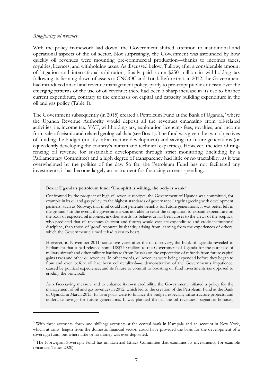#### *Ring-fencing oil revenues*

With the policy framework laid down, the Government shifted attention to institutional and operational aspects of the oil sector. Not surprisingly, the Government was astounded by how quickly oil revenues were mounting pre-commercial production—thanks to incomes taxes, royalties, licences, and withholding taxes. As discussed below, Tullow, after a considerable amount of litigation and international arbitration, finally paid some \$250 million in withholding tax following its farming-down of assets to CNOOC and Total. Before that, in 2012, the Government had introduced an oil and revenue management policy, partly to pre-empt public criticism over the emerging patterns of the use of oil revenue; there had been a sharp increase in its use to finance current expenditure, contrary to the emphasis on capital and capacity building expenditure in the oil and gas policy (Table 1).

The Government subsequently (in 201[5](#page-8-0)) created a Petroleum Fund at the Bank of Uganda,<sup>5</sup> where the Uganda Revenue Authority would deposit all the revenues emanating from oil-related activities, i.e. income tax, VAT, withholding tax, exploration licencing fees, royalties, and income from sale of seismic and related geological data (see Box 1). The fund was given the twin objectives of funding the budget (mostly infrastructure development) and saving for future generations (or equivalently developing the country's human and technical capacities). However, the idea of ringfencing oil revenue for sustainable development through strict monitoring (including by a Parliamentary Committee) and a high degree of transparency had little or no tractability, as it was overwhelmed by the politics of the day. So far, the Petroleum Fund has not facilitated any investments; it has become largely an instrument for financing current spending.

#### **Box 1: Uganda's petroleum fund: 'The spirit is willing, the body is weak'**

Confronted by the prospect of high oil revenue receipts, the Government of Uganda was committed, for example in its oil and gas policy, to the highest standards of governance, largely agreeing with development partners, such as Norway, that if oil could not generate benefits for future generations, it was better left in the ground.[6](#page-8-1) In the event, the government was not able to resist the temptation to expand expenditure on the basis of expected oil incomes; in other words, its behaviour has been closer to the views of the sceptics, who predicted that oil revenues (current and future) would escalate expenditure and erode institutional discipline, than those of 'good' resource husbandry arising from learning from the experiences of others, which the Government claimed it had taken to heart.

However, in November 2011, some five years after the oil discovery, the Bank of Uganda revealed to Parliament that it had released some US\$740 million to the Government of Uganda for the purchase of military aircraft and other military hardware (from Russia) on the expectation of refunds from future capital gains taxes and other oil revenues. In other words, oil revenues were being expended before they began to flow and even before oil had been collateralized—a demonstration of the Government's impatience, caused by political expedience, and its failure to commit to boosting oil fund investments (as opposed to eroding the principal).

As a face-saving measure and to enhance its own credibility, the Government initiated a policy for the management of oil and gas revenues in 2012, which led to the creation of the Petroleum Fund at the Bank of Uganda in March 2015. Its twin goals were to finance the budget, especially infrastructure projects, and undertake savings for future generations. It was planned that all the oil revenues—signature bonuses,

<span id="page-8-0"></span><sup>5</sup> With three accounts: forex and shillings accounts at the central bank in Kampala and an account in New York, which, at arms' length from the domestic financial sector, could have provided the basis for the development of a sovereign fund, but where little or no money was ever deposited.

<span id="page-8-1"></span><sup>&</sup>lt;sup>6</sup> The Norwegian Sovereign Fund has an External Ethics Committee that examines its investments, for example (Financial Times 2020).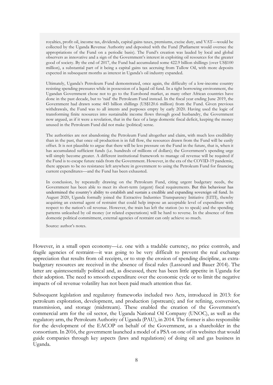royalties, profit oil, income tax, dividends, capital gains taxes, premiums, excise duty, and VAT—would be collected by the Uganda Revenue Authority and deposited with the Fund (Parliament would oversee the appropriations of the Fund on a periodic basis). The Fund's creation was lauded by local and global observers as innovative and a sign of the Government's interest in exploiting oil resources for the greater good of society. By the end of 2017, the Fund had accumulated some 422.9 billion shillings (over US\$100 million), a substantial part of it being a capital gains tax accruing from Tullow Oil, with more deposits expected in subsequent months as interest in Uganda's oil industry expanded.

Ultimately, Uganda's Petroleum Fund demonstrated, once again, the difficulty of a low-income country resisting spending pressures while in possession of a liquid oil fund. In a tight borrowing environment, the Ugandan Government chose not to go to the Eurobond market, as many other African countries have done in the past decade, but to 'raid' the Petroleum Fund instead. In the fiscal year ending June 2019, the Government had drawn some 445 billion shillings (US\$120.6 million) from the Fund. Given previous withdrawals, the Fund was to all intents and purposes empty by early 2020. Having used the logic of transforming finite resources into sustainable income flows through good husbandry, the Government now argued, as if it were a revelation, that in the face of a large domestic fiscal deficit, keeping the money unused in the Petroleum Fund did not make (political) sense.

The authorities are not abandoning the Petroleum Fund altogether and claim, with much less credibility than in the past, that once oil production is in full flow, the resources drawn from the Fund will be easily offset. It is not plausible to argue that there will be less pressure on the Fund in the future, that is, when it has accumulated sufficient funds (i.e. hundreds of millions of dollars); the Government's spending urge will simply become greater. A different institutional framework to manage oil revenue will be required if the Fund is to escape future raids from the Government. However, in the era of the COVID-19 pandemic, there appears to be no resistance left anywhere in government to using the Petroleum Fund for financing current expenditures—and the Fund has been exhausted.

In conclusion, by repeatedly drawing on the Petroleum Fund, citing urgent budgetary needs, the Government has been able to meet its short-term (urgent) fiscal requirements. But this behaviour has undermined the country's ability to establish and sustain a credible and expanding sovereign oil fund. In August 2020, Uganda formally joined the Extractive Industries Transparency Initiative (EITI), thereby acquiring an external agent of restraint that could help impose an acceptable level of expenditure with respect to the nation's oil revenue. However, the train has left the station (so to speak) and the spending patterns unleashed by oil money (or related expectations) will be hard to reverse. In the absence of firm domestic political commitment, external agencies of restraint can only achieve so much.

Source: author's notes.

However, in a small open economy—i.e. one with a tradable currency, no price controls, and fragile agencies of restraint—it was going to be very difficult to prevent the real exchange appreciation that results from oil receipts, or to stop the erosion of spending discipline, as extrabudgetary resources are received in the absence of fiscal rules (Lassourd and Bauer 2014). The latter are quintessentially political and, as discussed, there has been little appetite in Uganda for their adoption. The need to smooth expenditure over the economic cycle or to limit the negative impacts of oil revenue volatility has not been paid much attention thus far.

Subsequent legislation and regulatory frameworks included two Acts, introduced in 2013: for petroleum exploration, development, and production (upstream); and for refining, conversion, transmission, and storage (midstream). These enabled the creation of the Government's commercial arm for the oil sector, the Uganda National Oil Company (UNOC), as well as the regulatory arm, the Petroleum Authority of Uganda (PAU), in 2014. The former is also responsible for the development of the EACOP on behalf of the Government, as a shareholder in the consortium. In 2016, the government launched a model of a PSA on one of its websites that would guide companies through key aspects (laws and regulations) of doing oil and gas business in Uganda.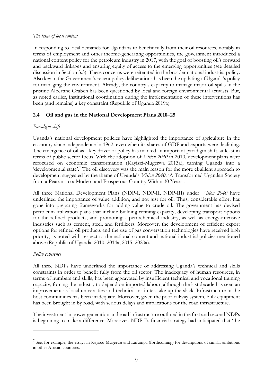### *The issue of local content*

In responding to local demands for Ugandans to benefit fully from their oil resources, notably in terms of employment and other income-generating opportunities, the government introduced a national content policy for the petroleum industry in 2017, with the goal of boosting oil's forward and backward linkages and ensuring equity of access to the emerging opportunities (see detailed discussion in Section 3.3). These concerns were reiterated in the broader national industrial policy. Also key to the Government's recent policy deliberations has been the updating of Uganda's policy for managing the environment. Already, the country's capacity to manage major oil spills in the pristine Albertine Graben has been questioned by local and foreign environmental activists. But, as noted earlier, institutional coordination during the implementation of these interventions has been (and remains) a key constraint (Republic of Uganda 2019a).

# **2.4 Oil and gas in the National Development Plans 2010–25**

# *Paradigm shift*

Uganda's national development policies have highlighted the importance of agriculture in the economy since independence in 1962, even when its shares of GDP and exports were declining. The emergence of oil as a key driver of policy has marked an important paradigm shift, at least in terms of public sector focus. With the adoption of *Vision 2040* in 2010, development plans were refocused on economic transformation (Kayizzi-Mugerwa 2013a), turning Uganda into a 'developmental state'.<sup>[7](#page-10-0)</sup> The oil discovery was the main reason for the more ebullient approach to development suggested by the theme of Uganda's *Vision 2040*: 'A Transformed Ugandan Society from a Peasant to a Modern and Prosperous Country Within 30 Years'.

All three National Development Plans (NDP-I, NDP-II, NDP-III) under *Vision 2040* have underlined the importance of value addition, and not just for oil. Thus, considerable effort has gone into preparing frameworks for adding value to crude oil. The government has devised petroleum utilization plans that include building refining capacity, developing transport options for the refined products, and promoting a petrochemical industry, as well as energy-intensive industries such as cement, steel, and fertilizers. Moreover, the development of efficient export options for refined oil products and the use of gas conversation technologies have received high priority, as noted with respect to the national content and national industrial policies mentioned above (Republic of Uganda, 2010, 2014a, 2015, 2020a).

# *Policy coherence*

All three NDPs have underlined the importance of addressing Uganda's technical and skills constraints in order to benefit fully from the oil sector. The inadequacy of human resources, in terms of numbers and skills, has been aggravated by insufficient technical and vocational training capacity, forcing the industry to depend on imported labour, although the last decade has seen an improvement as local universities and technical institutes take up the slack. Infrastructure in the host communities has been inadequate. Moreover, given the poor railway system, bulk equipment has been brought in by road, with serious delays and implications for the road infrastructure.

The investment in power generation and road infrastructure outlined in the first and second NDPs is beginning to make a difference. Moreover, NDP-I's financial strategy had anticipated that 'the

<span id="page-10-0"></span> $<sup>7</sup>$  See, for example, the essays in Kayizzi-Mugerwa and Lufumpa (forthcoming) for descriptions of similar ambitions</sup> in other African countries.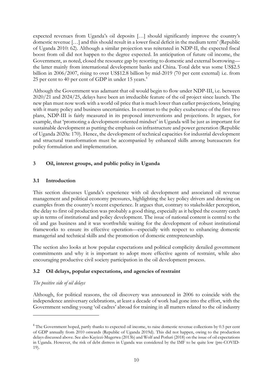expected revenues from Uganda's oil deposits […] should significantly improve the country's domestic revenue […] and this should result in a lower fiscal deficit in the medium term' (Republic of Uganda 2010: 62). Although a similar projection was reiterated in NDP-II, the expected fiscal boost from oil did not happen to the degree expected. In anticipation of future oil income, the Government, as noted, closed the resource gap by resorting to domestic and external borrowing the latter mainly from international development banks and China. Total debt was some US\$2.5 billion in 2006/2007, rising to over US\$12.8 billion by mid-2019 (70 per cent external) i.e. from 25 per cent to 40 per cent of GDP in under 15 years. $8$ 

Although the Government was adamant that oil would begin to flow under NDP-III, i.e. between 2020/21 and 2024/25, delays have been an irreducible feature of the oil project since launch. The new plan must now work with a world oil price that is much lower than earlier projections, bringing with it many policy and business uncertainties. In contrast to the policy exuberance of the first two plans, NDP-III is fairly measured in its proposed interventions and projections. It argues, for example, that 'promoting a development-oriented mindset' in Uganda will be just as important for sustainable development as putting the emphasis on infrastructure and power generation (Republic of Uganda 2020a: 170). Hence, the development of technical capacities for industrial development and structural transformation must be accompanied by enhanced skills among bureaucrats for policy formulation and implementation.

# **3 Oil, interest groups, and public policy in Uganda**

# **3.1 Introduction**

This section discusses Uganda's experience with oil development and associated oil revenue management and political economy pressures, highlighting the key policy drivers and drawing on examples from the country's recent experience. It argues that, contrary to stakeholder perception, the delay to first oil production was probably a good thing, especially as it helped the country catch up in terms of institutional and policy development. The issue of national content is central to the oil and gas business and it was worthwhile waiting for the development of robust institutional frameworks to ensure its effective operation—especially with respect to enhancing domestic managerial and technical skills and the promotion of domestic entrepreneurship.

The section also looks at how popular expectations and political complicity derailed government commitments and why it is important to adopt more effective agents of restraint, while also encouraging productive civil society participation in the oil development process.

# **3.2 Oil delays, popular expectations, and agencies of restraint**

# *The positive side of oil delays*

Although, for political reasons, the oil discovery was announced in 2006 to coincide with the independence anniversary celebrations, at least a decade of work had gone into the effort, with the Government sending young 'oil cadres' abroad for training in all matters related to the oil industry

<span id="page-11-0"></span><sup>&</sup>lt;sup>8</sup> The Government hoped, partly thanks to expected oil income, to raise domestic revenue collections by 0.5 per cent of GDP annually from 2010 onwards (Republic of Uganda 2019d). This did not happen, owing to the production delays discussed above. See also Kayizzi-Mugerwa (2013b) and Wolf and Potluri (2018) on the issue of oil expectations in Uganda. However, the risk of debt distress in Uganda was considered by the IMF to be quite low (pre-COVID-19).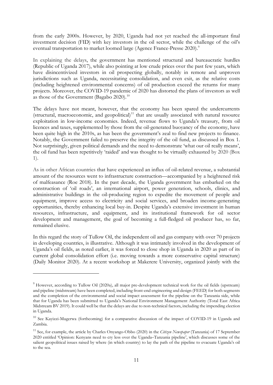from the early 2000s. However, by 2020, Uganda had not yet reached the all-important final investment decision (FID) with key investors in the oil sector, while the challenge of the oil's eventual transportation to market loomed large (Agence France-Presse 2020).<sup>[9](#page-12-0)</sup>

In explaining the delays, the government has mentioned structural and bureaucratic hurdles (Republic of Uganda 2017), while also pointing at low crude prices over the past few years, which have disincentivized investors in oil prospecting globally, notably in remote and unproven jurisdictions such as Uganda, necessitating consolidation, and even exit, as the relative costs (including heightened environmental concerns) of oil production exceed the returns for many projects. Moreover, the COVID-19 pandemic of 2020 has distorted the plans of investors as well as those of the Government (Bagabo 2020).<sup>[10](#page-12-1)</sup>

The delays have not meant, however, that the economy has been spared the undercurrents (structural, macroeconomic, and geopolitical) $11$  that are usually associated with natural resource exploitation in low-income economies. Indeed, revenue flows to Uganda's treasury, from oil licences and taxes, supplemented by those from the oil-generated buoyancy of the economy, have been quite high in the 2010s, as has been the government's zeal to find new projects to finance. Notably, the Government failed to preserve the integrity of the oil fund, as discussed in Box 1. Not surprisingly, given political demands and the need to demonstrate 'what our oil really means', the oil fund has been repetitively 'raided' and was thought to be virtually exhausted by 2020 (Box 1).

As in other African countries that have experienced an influx of oil-related revenue, a substantial amount of the resources went to infrastructure construction—accompanied by a heightened risk of malfeasance (Roe 2018). In the past decade, the Uganda government has embarked on the construction of 'oil roads', an international airport, power generation, schools, clinics, and administrative buildings in the oil-producing region to expedite the movement of people and equipment, improve access to electricity and social services, and broaden income-generating opportunities, thereby enhancing local buy-in. Despite Uganda's extensive investment in human resources, infrastructure, and equipment, and its institutional framework for oil sector development and management, the goal of becoming a full-fledged oil producer has, so far, remained elusive.

In this regard the story of Tullow Oil, the independent oil and gas company with over 70 projects in developing countries, is illustrative. Although it was intimately involved in the development of Uganda's oil fields, as noted earlier, it was forced to close shop in Uganda in 2020 as part of its current global consolidation effort (i.e. moving towards a more conservative capital structure) (Daily Monitor 2020). At a recent workshop at Makerere University, organized jointly with the

<span id="page-12-0"></span><sup>&</sup>lt;sup>9</sup> However, according to Tullow Oil (2020a), all major pre-development technical work for the oil fields (upstream) and pipeline (midstream) have been completed, including front-end engineering and design (FEED) for both segments and the completion of the environmental and social impact assessment for the pipeline on the Tanzania side, while that for Uganda has been submitted to Uganda's National Environment Management Authority (Total East Africa Midstream BV 2019). It could well be that the delays are due to non-technical factors, including the impending election in Uganda.

<span id="page-12-1"></span><sup>10</sup> See Kayizzi-Mugerwa (forthcoming) for a comparative discussion of the impact of COVID-19 in Uganda and Zambia.

<span id="page-12-2"></span><sup>11</sup> See, for example, the article by Charles Onyango-Obbo (2020) in the *Citizen Newspaper* (Tanzania) of 17 September 2020 entitled 'Opinion: Kenyans need to cry less over the Uganda–Tanzania pipeline', which discusses some of the salient geopolitical issues raised by where (in which country) to lay the path of the pipeline to evacuate Uganda's oil to the sea.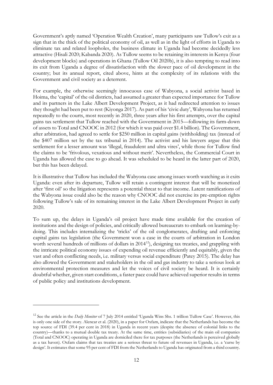Government's aptly named 'Operation Wealth Creation', many participants saw Tullow's exit as a sign that in the thick of the political economy of oil, as well as in the light of efforts in Uganda to eliminate tax and related loopholes, the business climate in Uganda had become decidedly less attractive (Hisali 2020; Kabanda 2020). As Tullow seems to be retaining its interests in Kenya (four development blocks) and operations in Ghana (Tullow Oil 2020b), it is also tempting to read into its exit from Uganda a degree of dissatisfaction with the slower pace of oil development in the country; but its annual report, cited above, hints at the complexity of its relations with the Government and civil society as a deterrent.

For example, the otherwise seemingly innocuous case of Wabyona, a social activist based in Hoima, the 'capital' of the oil districts, had assumed a greater than expected importance for Tullow and its partners in the Lake Albert Development Project, as it had redirected attention to issues they thought had been put to rest (Kiyonga 2017). As part of his 'civic duty', Wabyona has returned repeatedly to the courts, most recently in 2020, three years after his first attempts, over the capital gains tax settlement that Tullow reached with the Government in 2015—following its farm-down of assets to Total and CNOOC in 2012 (for which it was paid over \$1.4 billion). The Government, after arbitration, had agreed to settle for \$250 million in capital gains (withholding) tax (instead of the \$407 million set by the tax tribunal in 2014). The activist and his lawyers argue that this settlement for a lesser amount was 'illegal, fraudulent and ultra vires', while those for Tullow find the claims to be 'frivolous, vexatious and without merit'. Nevertheless, the Commercial Court in Uganda has allowed the case to go ahead. It was scheduled to be heard in the latter part of 2020, but this has been delayed.

It is illustrative that Tullow has included the Wabyona case among issues worth watching as it exits Uganda: even after its departure, Tullow will retain a contingent interest that will be monetized after 'first oil' so the litigation represents a potential threat to that income. Latent ramifications of the Wabyona issue could also be the reason why CNOOC did not exercise its pre-emption rights following Tullow's sale of its remaining interest in the Lake Albert Development Project in early 2020.

To sum up, the delays in Uganda's oil project have made time available for the creation of institutions and the design of policies, and critically allowed bureaucrats to embark on learning-bydoing. This includes internalizing the 'tricks' of the oil conglomerates, drafting and enforcing capital gains tax legislation (the Government won a case in the courts of arbitration in London worth several hundreds of millions of dollars in 2014<sup>12</sup>), designing tax treaties, and grappling with the intricate political economy issues of expending oil revenue efficiently and equitably, given the vast and often conflicting needs, i.e. military versus social expenditure (Patey 2015). The delay has also allowed the Government and stakeholders in the oil and gas industry to take a serious look at environmental protection measures and let the voices of civil society be heard. It is certainly doubtful whether, given start conditions, a faster pace could have achieved superior results in terms of public policy and institutions development.

<span id="page-13-0"></span><sup>&</sup>lt;sup>12</sup> See the article in the *Daily Monitor* of 7 July 2014 entitled 'Uganda Wins Shs. 1 trillion Tullow Case'. However, this is only one side of the story. Alencar et al. (2020), in a paper for Oxfam, indicate that the Netherlands has become the top source of FDI (39.4 per cent in 2018) in Uganda in recent years (despite the absence of colonial links to the country)—thanks to a mutual double tax treaty. At the same time, entities (subsidiaries) of the main oil companies (Total and CNOOC) operating in Uganda are domiciled there for tax purposes (the Netherlands is perceived globally as a tax haven). Oxfam claims that tax treaties are a serious threat to future oil revenues in Uganda, i.e. a 'curse by design'. It estimates that some 95 per cent of FDI from the Netherlands to Uganda has originated from a third country.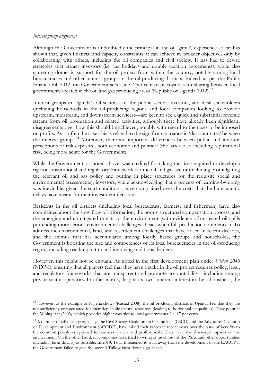### *Interest group alignment*

Although the Government is undoubtedly the principal in the oil 'game', experience so far has shown that, given financial and capacity constraints, it can achieve its broader objectives only by collaborating with others, including the oil companies and civil society. It has had to devise strategies that attract investors (i.e. tax holidays and double taxation agreements), while also garnering domestic support for the oil project from within the country, notably among local bureaucracies and other interest groups in the oil-producing districts. Indeed, as per the Public Finance Bill 2012, the Government sets aside 7 per cent of oil royalties for sharing between local governments located in the oil and gas producing areas (Republic of Uganda 2012).<sup>[13](#page-14-0)</sup>

Interest groups in Uganda's oil sector—i.e. the public sector, investors, and local stakeholders (including households in the oil-producing regions and local companies looking to provide upstream, midstream, and downstream services)—are keen to see a quick and substantial revenue stream from oil production and related activities, although there have already been significant disagreements over how this should be achieved, notably with regard to the taxes to be imposed on profits. As is often the case, this is related to the significant variance in 'discount rates' between the interest groups.[14](#page-14-1) Moreover, there are important differences between public and investor perceptions of risk exposure, both economic and political (the latter, also including reputational risk, being more acute for the Government).

While the Government, as noted above, was credited for taking the time required to develop a rigorous institutional and regulatory framework for the oil and gas sector (including promulgating the relevant oil and gas policy and putting in place structures for the requisite social and environmental assessments), investors, while acknowledging that a process of learning-by-doing was inevitable, given the start conditions, have complained over the costs that the bureaucratic delays have meant for their investment decisions.

Residents in the oil districts (including local bureaucrats, farmers, and fishermen) have also complained about the slow flow of information, the poorly structured compensation process, and the emerging and unmitigated threats to the environment (with evidence of untreated oil spills portending more serious environmental challenges ahead, when full production commences). To address the environmental, land, and resettlement challenges that have arisen in recent decades, and the animus that has accumulated among locally based groups and households, the Government is boosting the size and competences of its local bureaucracies in the oil-producing region, including reaching out to and involving traditional leaders.

However, this might not be enough. As noted in the first development plan under *Vision 2040* (NDP-I), ensuring that all players feel that they have a stake in the oil project requires policy, legal, and regulatory frameworks that are transparent and promote accountability—including among private sector operators. In other words, despite its own inherent interest in the oil business, the

<span id="page-14-0"></span> $13$  However, as the example of Nigeria shows (Rustad 2008), the oil-producing districts in Uganda feel that they are not sufficiently compensated for their depletable natural resources (leading to horizontal inequalities). They point at the Mining Act (2003), which provides higher royalties to local governments (i.e. 17 per cent).

<span id="page-14-1"></span><sup>&</sup>lt;sup>14</sup> A number of advocacy groups, e.g. the Civil Society Coalition on Oil and Gas (CSCO) and the Advocates Coalition on Development and Environment (ACODE), have raised their voices in recent years over the issue of benefits to the common people as opposed to business owners and professionals. They have also discussed impacts on the environment. On the other hand, oil companies have tried to wring as much out of the PSAs and other opportunities (including farm-downs) as possible. In 2019, Total threatened to walk away from the development of the EACOP if the Government failed to give the second Tullow farm-down a go-ahead.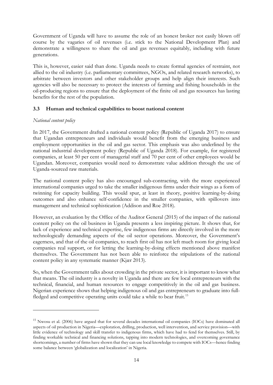Government of Uganda will have to assume the role of an honest broker not easily blown off course by the vagaries of oil revenues (i.e. stick to the National Development Plan) and demonstrate a willingness to share the oil and gas revenues equitably, including with future generations.

This is, however, easier said than done. Uganda needs to create formal agencies of restraint, not allied to the oil industry (i.e. parliamentary committees, NGOs, and related research networks), to arbitrate between investors and other stakeholder groups and help align their interests. Such agencies will also be necessary to protect the interests of farming and fishing households in the oil-producing regions to ensure that the deployment of the finite oil and gas resources has lasting benefits for the rest of the population.

# **3.3 Human and technical capabilities to boost national content**

# *National content policy*

In 2017, the Government drafted a national content policy (Republic of Uganda 2017) to ensure that Ugandan entrepreneurs and individuals would benefit from the emerging business and employment opportunities in the oil and gas sector. This emphasis was also underlined by the national industrial development policy (Republic of Uganda 2018). For example, for registered companies, at least 50 per cent of managerial staff and 70 per cent of other employees would be Ugandan. Moreover, companies would need to demonstrate value addition through the use of Uganda-sourced raw materials.

The national content policy has also encouraged sub-contracting, with the more experienced international companies urged to take the smaller indigenous firms under their wings as a form of twinning for capacity building. This would spur, at least in theory, positive learning-by-doing outcomes and also enhance self-confidence in the smaller companies, with spillovers into management and technical sophistication (Addison and Roe 2018).

However, an evaluation by the Office of the Auditor General (2015) of the impact of the national content policy on the oil business in Uganda presents a less inspiring picture. It shows that, for lack of experience and technical expertise, few indigenous firms are directly involved in the more technologically demanding aspects of the oil sector operations. Moreover, the Government's eagerness, and that of the oil companies, to reach first oil has not left much room for giving local companies real support, or for letting the learning-by-doing effects mentioned above manifest themselves. The Government has not been able to reinforce the stipulations of the national content policy in any systematic manner (Kjær 2013).

So, when the Government talks about crowding in the private sector, it is important to know what that means. The oil industry is a novelty in Uganda and there are few local entrepreneurs with the technical, financial, and human resources to engage competitively in the oil and gas business. Nigerian experience shows that helping indigenous oil and gas entrepreneurs to graduate into full-fledged and competitive operating units could take a while to bear fruit.<sup>[15](#page-15-0)</sup>

<span id="page-15-0"></span><sup>&</sup>lt;sup>15</sup> Nwosu et al. (2006) have argued that for several decades international oil companies (IOCs) have dominated all aspects of oil production in Nigeria—exploration, drilling, production, well intervention, and service provision—with little evidence of technology and skill transfer to indigenous firms, which have had to fend for themselves. Still, by finding workable technical and financing solutions, tapping into modern technologies, and overcoming governance shortcomings, a number of firms have shown that they can use local knowledge to compete with IOCs—hence finding some balance between 'globalization and localization' in Nigeria.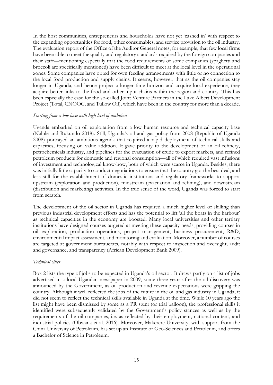In the host communities, entrepreneurs and households have not yet 'cashed in' with respect to the expanding opportunities for food, other consumables, and service provision to the oil industry. The evaluation report of the Office of the Auditor General notes, for example, that few local firms have been able to meet the quality and regulatory standards required by the foreign companies and their staff—mentioning especially that the food requirements of some companies (spaghetti and broccoli are specifically mentioned) have been difficult to meet at the local level in the operational zones. Some companies have opted for own feeding arrangements with little or no connection to the local food production and supply chains. It seems, however, that as the oil companies stay longer in Uganda, and hence project a longer time horizon and acquire local experience, they acquire better links to the food and other input chains within the region and country. This has been especially the case for the so-called Joint Venture Partners in the Lake Albert Development Project (Total, CNOOC, and Tullow Oil), which have been in the country for more than a decade.

### *Starting from a low base with high level of ambition*

Uganda embarked on oil exploitation from a low human resource and technical capacity base (Nalule and Rukundo 2018). Still, Uganda's oil and gas policy from 2008 (Republic of Uganda 2008) portrayed an ambitious agenda that required a rapid deployment of technical skills and capacities, focusing on value addition. It gave priority to the development of an oil refinery, petrochemicals industry, and pipelines for the evacuation of crude to export markets, and refined petroleum products for domestic and regional consumption—all of which required vast infusions of investment and technological know-how, both of which were scarce in Uganda. Besides, there was initially little capacity to conduct negotiations to ensure that the country got the best deal, and less still for the establishment of domestic institutions and regulatory frameworks to support upstream (exploration and production), midstream (evacuation and refining), and downstream (distribution and marketing) activities. In the true sense of the word, Uganda was forced to start from scratch.

The development of the oil sector in Uganda has required a much higher level of skilling than previous industrial development efforts and has the potential to lift 'all the boats in the harbour' as technical capacities in the economy are boosted. Many local universities and other tertiary institutions have designed courses targeted at meeting these capacity needs, providing courses in oil exploration, production operations, project management, business procurement, R&D, environmental impact assessment, and monitoring and evaluation. Moreover, a number of courses are targeted at government bureaucrats, notably with respect to inspection and oversight, audit and governance, and transparency (African Development Bank 2009).

### *Technical elites*

Box 2 lists the type of jobs to be expected in Uganda's oil sector. It draws partly on a list of jobs advertised in a local Ugandan newspaper in 2009, some three years after the oil discovery was announced by the Government, as oil production and revenue expectations were gripping the country. Although it well reflected the jobs of the future in the oil and gas industry in Uganda, it did not seem to reflect the technical skills available in Uganda at the time. While 10 years ago the list might have been dismissed by some as a PR stunt (or trial balloon), the professional skills it identified were subsequently validated by the Government's policy stances as well as by the requirements of the oil companies, i.e. as reflected by their employment, national content, and industrial policies (Obwana et al. 2016). Moreover, Makerere University, with support from the China University of Petroleum, has set up an Institute of Geo-Sciences and Petroleum, and offers a Bachelor of Science in Petroleum.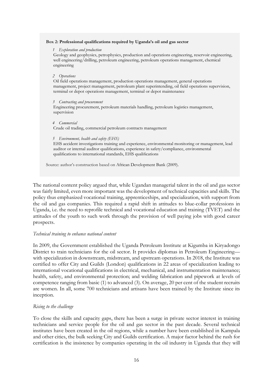#### **Box 2: Professional qualifications required by Uganda's oil and gas sector**

#### *1 Exploration and production*

Geology and geophysics, petrophysics, production and operations engineering, reservoir engineering, well engineering/drilling, petroleum engineering, petroleum operations management, chemical engineering

#### *2 Operations*

Oil field operations management, production operations management, general operations management, project management, petroleum plant superintending, oil field operations supervision, terminal or depot operations management, terminal or depot maintenance

#### *3 Contracting and procurement*

Engineering procurement, petroleum materials handling, petroleum logistics management, supervision

#### *4 Commercial*

Crude oil trading, commercial petroleum contracts management

#### *5 Environment, health and safety (EHS)*

EHS accident investigations training and experience, environmental monitoring or management, lead auditor or internal auditor qualifications, experience in safety/compliance, environmental qualifications to international standards, EHS qualifications

Source: author's construction based on African Development Bank (2009).

The national content policy argued that, while Ugandan managerial talent in the oil and gas sector was fairly limited, even more important was the development of technical capacities and skills. The policy thus emphasized vocational training, apprenticeships, and specialization, with support from the oil and gas companies. This required a rapid shift in attitudes to blue-collar professions in Uganda, i.e. the need to reprofile technical and vocational education and training (TVET) and the attitudes of the youth to such work through the provision of well paying jobs with good career prospects.

### *Technical training to enhance national content*

In 2009, the Government established the Uganda Petroleum Institute at Kigumba in Kiryadongo District to train technicians for the oil sector. It provides diplomas in Petroleum Engineering with specialization in downstream, midstream, and upstream operations. In 2018, the Institute was certified to offer City and Guilds (London) qualifications in 22 areas of specialization leading to international vocational qualifications in electrical, mechanical, and instrumentation maintenance; health, safety, and environmental protection; and welding fabrication and pipework at levels of competence ranging from basic (1) to advanced (3). On average, 20 per cent of the student recruits are women. In all, some 700 technicians and artisans have been trained by the Institute since its inception.

### *Rising to the challenge*

To close the skills and capacity gaps, there has been a surge in private sector interest in training technicians and service people for the oil and gas sector in the past decade. Several technical institutes have been created in the oil regions, while a number have been established in Kampala and other cities, the bulk seeking City and Guilds certification. A major factor behind the rush for certification is the insistence by companies operating in the oil industry in Uganda that they will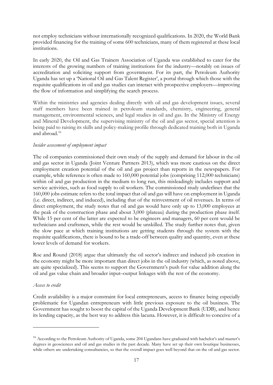not employ technicians without internationally recognized qualifications. In 2020, the World Bank provided financing for the training of some 600 technicians, many of them registered at these local institutions.

In early 2020, the Oil and Gas Trainers Association of Uganda was established to cater for the interests of the growing numbers of training institutions for the industry—notably on issues of accreditation and soliciting support from government. For its part, the Petroleum Authority Uganda has set up a 'National Oil and Gas Talent Register', a portal through which those with the requisite qualifications in oil and gas studies can interact with prospective employers—improving the flow of information and simplifying the search process.

Within the ministries and agencies dealing directly with oil and gas development issues, several staff members have been trained in petroleum standards, chemistry, engineering, general management, environmental sciences, and legal studies in oil and gas. In the Ministry of Energy and Mineral Development, the supervising ministry of the oil and gas sector, special attention is being paid to raising its skills and policy-making profile through dedicated training both in Uganda and abroad.[16](#page-18-0)

# *Insider assessment of employment impact*

The oil companies commissioned their own study of the supply and demand for labour in the oil and gas sector in Uganda (Joint Venture Partners 2013), which was more cautious on the direct employment creation potential of the oil and gas project than reports in the newspapers. For example, while reference is often made to 160,000 potential jobs (comprising 112,000 technicians) within oil and gas production in the medium to long run, this misleadingly includes support and service activities, such as food supply to oil workers. The commissioned study underlines that the 160,000 jobs estimate refers to the total impact that oil and gas will have on employment in Uganda (i.e. direct, indirect, and induced), including that of the reinvestment of oil revenues. In terms of direct employment, the study notes that oil and gas would have only up to 13,000 employees at the peak of the construction phase and about 3,000 (plateau) during the production phase itself. While 15 per cent of the latter are expected to be engineers and managers, 60 per cent would be technicians and craftsmen, while the rest would be unskilled. The study further notes that, given the slow pace at which training institutions are getting students through the system with the requisite qualifications, there is bound to be a trade-off between quality and quantity, even at these lower levels of demand for workers.

Roe and Round (2018) argue that ultimately the oil sector's indirect and induced job creation in the economy might be more important than direct jobs in the oil industry (which, as noted above, are quite specialized). This seems to support the Government's push for value addition along the oil and gas value chain and broader input–output linkages with the rest of the economy.

### *Access to credit*

Credit availability is a major constraint for local entrepreneurs, access to finance being especially problematic for Ugandan entrepreneurs with little previous exposure to the oil business. The Government has sought to boost the capital of the Uganda Development Bank (UDB), and hence its lending capacity, as the best way to address this lacuna. However, it is difficult to conceive of a

<span id="page-18-0"></span><sup>&</sup>lt;sup>16</sup> According to the Petroleum Authority of Uganda, some 204 Ugandans have graduated with bachelor's and master's degrees in geosciences and oil and gas studies in the past decade. Many have set up their own boutique businesses, while others are undertaking consultancies, so that the overall impact goes well beyond that on the oil and gas sector.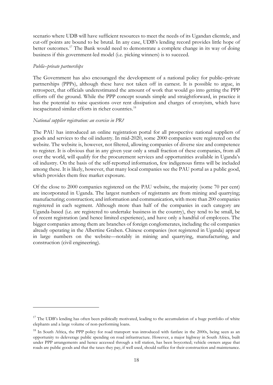scenario where UDB will have sufficient resources to meet the needs of its Ugandan clientele, and cut-off points are bound to be brutal. In any case, UDB's lending record provides little hope of better outcomes.<sup>[17](#page-19-0)</sup> The Bank would need to demonstrate a complete change in its way of doing business if this government-led model (i.e. picking winners) is to succeed.

### *Public–private partnerships*

The Government has also encouraged the development of a national policy for public–private partnerships (PPPs), although these have not taken off in earnest. It is possible to argue, in retrospect, that officials underestimated the amount of work that would go into getting the PPP efforts off the ground. While the PPP concept sounds simple and straightforward, in practice it has the potential to raise questions over rent dissipation and charges of cronyism, which have incapacitated similar efforts in richer countries.<sup>[18](#page-19-1)</sup>

# *National supplier registration: an exercise in PR?*

The PAU has introduced an online registration portal for all prospective national suppliers of goods and services to the oil industry. In mid-2020, some 2000 companies were registered on the website. The website is, however, not filtered, allowing companies of diverse size and competence to register. It is obvious that in any given year only a small fraction of these companies, from all over the world, will qualify for the procurement services and opportunities available in Uganda's oil industry. On the basis of the self-reported information, few indigenous firms will be included among these. It is likely, however, that many local companies see the PAU portal as a public good, which provides them free market exposure.

Of the close to 2000 companies registered on the PAU website, the majority (some 70 per cent) are incorporated in Uganda. The largest numbers of registrants are from mining and quarrying; manufacturing; construction; and information and communication, with more than 200 companies registered in each segment. Although more than half of the companies in each category are Uganda-based (i.e. are registered to undertake business in the country), they tend to be small, be of recent registration (and hence limited experience), and have only a handful of employees. The bigger companies among them are branches of foreign conglomerates, including the oil companies already operating in the Albertine Graben. Chinese companies (not registered in Uganda) appear in large numbers on the website—notably in mining and quarrying, manufacturing, and construction (civil engineering).

<span id="page-19-0"></span> $17$  The UDB's lending has often been politically motivated, leading to the accumulation of a huge portfolio of white elephants and a large volume of non-performing loans.

<span id="page-19-1"></span><sup>&</sup>lt;sup>18</sup> In South Africa, the PPP policy for road transport was introduced with fanfare in the 2000s, being seen as an opportunity to deleverage public spending on road infrastructure. However, a major highway in South Africa, built under PPP arrangements and hence accessed through a toll station, has been boycotted; vehicle owners argue that roads are public goods and that the taxes they pay, if well used, should suffice for their construction and maintenance.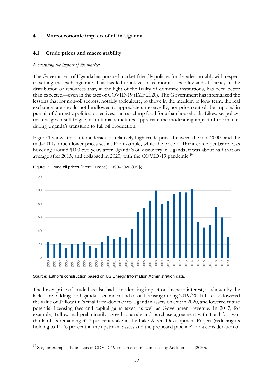# **Macroeconomic impacts of oil in Uganda**

# **4.1 Crude prices and macro stability**

### *Moderating the impact of the market*

The Government of Uganda has pursued market-friendly policies for decades, notably with respect to setting the exchange rate. This has led to a level of economic flexibility and efficiency in the distribution of resources that, in the light of the frailty of domestic institutions, has been better than expected—even in the face of COVID-19 (IMF 2020). The Government has internalized the lessons that for non-oil sectors, notably agriculture, to thrive in the medium to long term, the real exchange rate should not be allowed to appreciate unreservedly, nor price controls be imposed in pursuit of domestic political objectives, such as cheap food for urban households. Likewise, policymakers, given still fragile institutional structures, appreciate the moderating impact of the market during Uganda's transition to full oil production.

Figure 1 shows that, after a decade of relatively high crude prices between the mid-2000s and the mid-2010s, much lower prices set in. For example, while the price of Brent crude per barrel was hovering around \$100 two years after Uganda's oil discovery in Uganda, it was about half that on average after 2015, and collapsed in 2020, with the COVID-[19](#page-20-0) pandemic.<sup>19</sup>



Figure 1: Crude oil prices (Brent Europe), 1990–2020 (US\$)

Source: author's construction based on US Energy Information Administration data.

The lower price of crude has also had a moderating impact on investor interest, as shown by the lacklustre bidding for Uganda's second round of oil licensing during 2019/20. It has also lowered the value of Tullow Oil's final farm-down of its Ugandan assets on exit in 2020, and lowered future potential licensing fees and capital gains taxes, as well as Government revenue. In 2017, for example, Tullow had preliminarily agreed to a sale and purchase agreement with Total for twothirds of its remaining 33.3 per cent stake in the Lake Albert Development Project (reducing its holding to 11.76 per cent in the upstream assets and the proposed pipeline) for a consideration of

<span id="page-20-0"></span>See, for example, the analysis of COVID-19's macroeconomic impacts by Addison et al. (2020).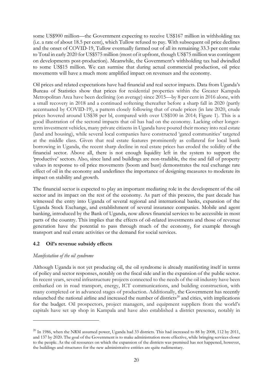some US\$900 million—the Government expecting to receive US\$167 million in withholding tax (i.e. a rate of about 18.5 per cent), which Tullow refused to pay. With subsequent oil price declines and the onset of COVID-19, Tullow eventually farmed out of all its remaining 33.3 per cent stake to Total in early 2020 for US\$575 million (most of it upfront, though US\$75 million was contingent on developments post-production). Meanwhile, the Government's withholding tax had dwindled to some US\$15 million. We can surmise that during actual commercial production, oil price movements will have a much more amplified impact on revenues and the economy.

Oil prices and related expectations have had financial and real sector impacts. Data from Uganda's Bureau of Statistics show that prices for residential properties within the Greater Kampala Metropolitan Area have been declining (on average) since 2015—by 8 per cent in 2016 alone, with a small recovery in 2018 and a continued softening thereafter before a sharp fall in 2020 (partly accentuated by COVID-19), a pattern closely following that of crude prices (in late 2020, crude prices hovered around US\$38 per bl, compared with over US\$100 in 2014; Figure 1). This is a good illustration of the sectoral impacts that oil has had on the economy. Lacking other longerterm investment vehicles, many private citizens in Uganda have poured their money into real estate (land and housing), while several local companies have constructed 'gated communities' targeted at the middle class. Given that real estate features prominently as collateral for local bank borrowing in Uganda, the recent sharp decline in real estate prices has eroded the solidity of the financial sector. Above all, there is not enough liquidity left in the system to support the 'productive' sectors. Also, since land and buildings are non-tradable, the rise and fall of property values in response to oil price movements (boom and bust) demonstrates the real exchange rate effect of oil in the economy and underlines the importance of designing measures to moderate its impact on stability and growth.

The financial sector is expected to play an important mediating role in the development of the oil sector and its impact on the rest of the economy. As part of this process, the past decade has witnessed the entry into Uganda of several regional and international banks, expansion of the Uganda Stock Exchange, and establishment of several insurance companies. Mobile and agent banking, introduced by the Bank of Uganda, now allows financial services to be accessible in most parts of the country. This implies that the effects of oil-related investments and those of revenue generation have the potential to pass through much of the economy, for example through transport and real estate activities or the demand for social services.

# **4.2 Oil's revenue subsidy effects**

# *Manifestation of the oil syndrome*

Although Uganda is not yet producing oil, the oil syndrome is already manifesting itself in terms of policy and sector responses, notably on the fiscal side and in the expansion of the public sector. In recent years, several infrastructure projects connected to the needs of the oil industry have been embarked on in road transport, energy, ICT communications, and building construction, with many completed or in advanced stages of production. Additionally, the Government has recently relaunched the national airline and increased the number of districts<sup>[20](#page-21-0)</sup> and cities, with implications for the budget. Oil prospectors, project managers, and equipment suppliers from the world's capitals have set up shop in Kampala and have also established a district presence, notably in

<span id="page-21-0"></span> $^{20}$  In 1986, when the NRM assumed power, Uganda had 33 districts. This had increased to 88 by 2008, 112 by 2011, and 137 by 2020. The goal of the Government is to make administration more effective, while bringing services closer to the people. As the oil resources on which the expansion of the districts was premised has not happened, however, the buildings and structures for the new administrative entities are quite rudimentary.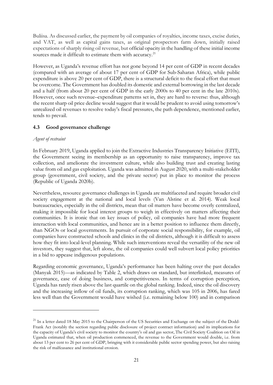Buliisa. As discussed earlier, the payment by oil companies of royalties, income taxes, excise duties, and VAT, as well as capital gains taxes, as original prospectors farm down, initially raised expectations of sharply rising oil revenue, but official opacity in the handling of these initial income sources made it difficult to estimate them with accuracy.<sup>[21](#page-22-0)</sup>

However, as Uganda's revenue effort has not gone beyond 14 per cent of GDP in recent decades (compared with an average of about 17 per cent of GDP for Sub-Saharan Africa), while public expenditure is above 20 per cent of GDP, there is a structural deficit to the fiscal effort that must be overcome. The Government has doubled its domestic and external borrowing in the last decade and a half (from about 20 per cent of GDP in the early 2000s to 40 per cent in the late 2010s). However, once such revenue–expenditure patterns set in, they are hard to reverse: thus, although the recent sharp oil price decline would suggest that it would be prudent to avoid using tomorrow's unrealized oil revenues to resolve today's fiscal pressures, the path dependence, mentioned earlier, tends to prevail.

# **4.3 Good governance challenge**

### *Agent of restraint*

In February 2019, Uganda applied to join the Extractive Industries Transparency Initiative (EITI), the Government seeing its membership as an opportunity to raise transparency, improve tax collection, and ameliorate the investment culture, while also building trust and creating lasting value from oil and gas exploitation. Uganda was admitted in August 2020, with a multi-stakeholder group (government, civil society, and the private sector) put in place to monitor the process (Republic of Uganda 2020b).

Nevertheless, resource governance challenges in Uganda are multifaceted and require broader civil society engagement at the national and local levels (Van Alstine et al. 2014). Weak local bureaucracies, especially in the oil districts, mean that oil matters have become overly centralized, making it impossible for local interest groups to weigh in effectively on matters affecting their communities. It is ironic that on key issues of policy, oil companies have had more frequent interaction with local communities, and hence are in a better position to influence them directly, than NGOs or local governments. In pursuit of corporate social responsibility, for example, oil companies have constructed schools and clinics in the oil districts, although it is difficult to assess how they fit into local-level planning. While such interventions reveal the versatility of the new oil investors, they suggest that, left alone, the oil companies could well subvert local policy priorities in a bid to appease indigenous populations.

Regarding economic governance, Uganda's performance has been halting over the past decades (Manyak 2015)—as indicated by Table 2, which draws on standard, but interlinked, measures of governance, ease of doing business, and competitiveness. In terms of corruption perception, Uganda has rarely risen above the last quartile on the global ranking. Indeed, since the oil discovery and the increasing inflow of oil funds, its corruption ranking, which was 105 in 2006, has fared less well than the Government would have wished (i.e. remaining below 100) and in comparison

<span id="page-22-0"></span> $^{21}$  In a letter dated 18 May 2015 to the Chairperson of the US Securities and Exchange on the subject of the Dodd-Frank Act (notably the section regarding public disclosure of project contract information) and its implications for the capacity of Uganda's civil society to monitor the country's oil and gas sector, The Civil Society Coalition on Oil in Uganda estimated that, when oil production commenced, the revenue to the Government would double, i.e. from about 13 per cent to 26 per cent of GDP, bringing with it considerable public sector spending power, but also raising the risk of malfeasance and institutional erosion.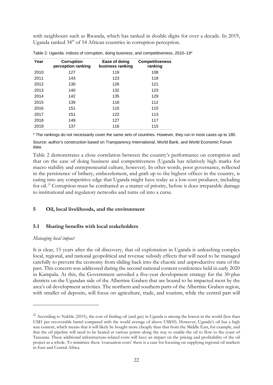with neighbours such as Rwanda, which has ranked in double digits for over a decade. In 2019, Uganda ranked 34<sup>th</sup> of 54 African countries in corruption perception.

| Year | <b>Corruption</b><br>perception ranking | Ease of doing<br>business ranking | <b>Competitiveness</b><br>ranking |
|------|-----------------------------------------|-----------------------------------|-----------------------------------|
| 2010 | 127                                     | 119                               | 108                               |
| 2011 | 143                                     | 123                               | 118                               |
| 2012 | 130                                     | 126                               | 121                               |
| 2013 | 140                                     | 132                               | 123                               |
| 2014 | 142                                     | 135                               | 129                               |
| 2015 | 139                                     | 116                               | 112                               |
| 2016 | 151                                     | 115                               | 115                               |
| 2017 | 151                                     | 122                               | 113                               |
| 2018 | 149                                     | 127                               | 117                               |
| 2019 | 137                                     | 116                               | 115                               |

Table 2: Uganda: indices of corruption, doing business, and competitiveness, 2010–19\*

\* The rankings do not necessarily cover the same sets of countries. However, they run in most cases up to 180.

Source: author's construction based on Transparency International, World Bank, and World Economic Forum data.

Table 2 demonstrates a close correlation between the country's performance on corruption and that on the ease of doing business and competitiveness (Uganda has relatively high marks for macro stability and entrepreneurial culture, however). In other words, poor governance, reflected in the persistence of bribery, embezzlement, and graft up to the highest offices in the country, is eating into any competitive edge that Uganda might have today as a low-cost producer, including for oil.<sup>[22](#page-23-0)</sup> Corruption must be combatted as a matter of priority, before it does irreparable damage to institutional and regulatory networks and turns oil into a curse.

# **5 Oil, local livelihoods, and the environment**

# **5.1 Sharing benefits with local stakeholders**

# *Managing local impact*

It is clear, 15 years after the oil discovery, that oil exploitation in Uganda is unleashing complex local, regional, and national geopolitical and revenue subsidy effects that will need to be managed carefully to prevent the economy from sliding back into the chaotic and unproductive state of the past. This concern was addressed during the second national content conference held in early 2020 in Kampala. At this, the Government unveiled a five-year development strategy for the 30-plus districts on the Ugandan side of the Albertine Graben that are bound to be impacted most by the area's oil development activities. The northern and southern parts of the Albertine Graben region, with smaller oil deposits, will focus on agriculture, trade, and tourism, while the central part will

<span id="page-23-0"></span><sup>&</sup>lt;sup>22</sup> According to Nakhle (2015), the cost of finding oil (and gas) in Uganda is among the lowest in the world (less than US\$1 per recoverable barrel compared with the world average of above US\$10). However, Uganda's oil has a high wax content, which means that it will likely be bought more cheaply than that from the Middle East, for example, and that the oil pipeline will need to be heated at various points along the way to enable the oil to flow to the coast of Tanzania. These additional infrastructure-related costs will have an impact on the pricing and profitability of the oil project as a whole. To minimize these 'evacuation costs' there is a case for focusing on supplying regional oil markets in East and Central Africa.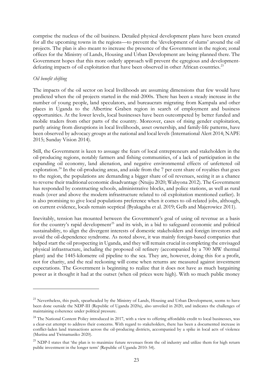comprise the nucleus of the oil business. Detailed physical development plans have been created for all the upcoming towns in the regions—to prevent the 'development of slums' around the oil projects. The plan is also meant to increase the presence of the Government in the region; zonal offices for the Ministry of Lands, Housing and Urban Development are being planned there. The Government hopes that this more orderly approach will prevent the egregious and developmentdefeating impacts of oil exploitation that have been observed in other African countries.<sup>23</sup>

# *Oil benefit shifting*

The impacts of the oil sector on local livelihoods are assuming dimensions that few would have predicted when the oil projects started in the mid-2000s. There has been a steady increase in the number of young people, land speculators, and bureaucrats migrating from Kampala and other places in Uganda to the Albertine Graben region in search of employment and business opportunities. At the lower levels, local businesses have been outcompeted by better funded and mobile traders from other parts of the country. Moreover, cases of rising gender exploitation, partly arising from disruptions in local livelihoods, asset ownership, and family-life patterns, have been observed by advocacy groups at the national and local levels (International Alert 2014; NAPE 2015; Sunday Vision 2014).

Still, the Government is keen to assuage the fears of local entrepreneurs and stakeholders in the oil-producing regions, notably farmers and fishing communities, of a lack of participation in the expanding oil economy, land alienation, and negative environmental effects of unfettered oil exploration.<sup>[24](#page-24-1)</sup> In the oil-producing areas, and aside from the 7 per cent share of royalties that goes to the region, the populations are demanding a bigger share of oil revenues, seeing it as a chance to reverse their traditional economic disadvantage (Ntujju 2020; Wabyona 2012). The Government has responded by constructing schools, administrative blocks, and police stations, as well as rural roads (over and above the modern infrastructure related to oil exploitation mentioned earlier). It is also promising to give local populations preference when it comes to oil-related jobs, although, on current evidence, locals remain sceptical (Byakagaba et al. 2019; Gelb and Majerowicz 2011).

Inevitably, tension has mounted between the Government's goal of using oil revenue as a basis for the country's rapid development<sup>[25](#page-24-2)</sup> and its wish, in a bid to safeguard economic and political sustainability, to align the divergent interests of domestic stakeholders and foreign investors and avoid the oil-dependence syndrome. As noted above, it was mainly foreign-based companies that helped start the oil prospecting in Uganda, and they will remain crucial in completing the envisaged physical infrastructure, including the proposed oil refinery (accompanied by a 700 MW thermal plant) and the 1445-kilometre oil pipeline to the sea. They are, however, doing this for a profit, not for charity, and the real reckoning will come when returns are measured against investment expectations. The Government is beginning to realize that it does not have as much bargaining power as it thought it had at the outset (when oil prices were high). With so much public money

<span id="page-24-0"></span><sup>&</sup>lt;sup>23</sup> Nevertheless, this push, spearheaded by the Ministry of Lands, Housing and Urban Development, seems to have been done outside the NDP-III (Republic of Uganda 2020a), also unveiled in 2020, and indicates the challenges of maintaining coherence under political pressure.

<span id="page-24-1"></span><sup>&</sup>lt;sup>24</sup> The National Content Policy introduced in 2017, with a view to offering affordable credit to local businesses, was a clear-cut attempt to address their concerns. With regard to stakeholders, there has been a documented increase in conflict-laden land transactions across the oil-producing districts, accompanied by a spike in local acts of violence (Muriisa and Twinamasiko 2020).

<span id="page-24-2"></span><sup>&</sup>lt;sup>25</sup> NDP-I states that 'the plan is to maximize future revenues from the oil industry and utilize them for high return public investment in the longer term' (Republic of Uganda 2010: 54).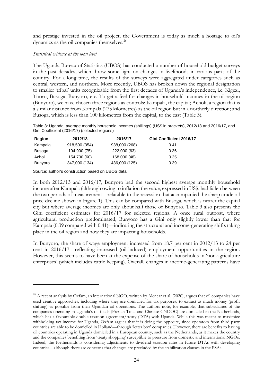and prestige invested in the oil project, the Government is today as much a hostage to oil's dynamics as the oil companies themselves.<sup>[26](#page-25-0)</sup>

### *Statistical evidence at the local level*

The Uganda Bureau of Statistics (UBOS) has conducted a number of household budget surveys in the past decades, which throw some light on changes in livelihoods in various parts of the country. For a long time, the results of the surveys were aggregated under categories such as central, western, and northern. More recently, UBOS has broken down the regional designation to smaller 'tribal' units recognizable from the first decades of Uganda's independence, i.e. Kigezi, Tooro, Busoga, Bunyoro, etc. To get a feel for changes in household incomes in the oil region (Bunyoro), we have chosen three regions as controls: Kampala, the capital; Acholi, a region that is a similar distance from Kampala (275 kilometres) as the oil region but in a northerly direction; and Busoga, which is less than 100 kilometres from the capital, to the east (Table 3).

Table 3: Uganda: average monthly household incomes (shillings) (US\$ in brackets), 2012/13 and 2016/17, and Gini Coefficient (2016/17) (selected regions)

| Region         | 2012/13       | 2016/17       | Gini Coefficient 2016/17 |
|----------------|---------------|---------------|--------------------------|
| Kampala        | 918,500 (354) | 938,000 (268) | 0.41                     |
| <b>Busoga</b>  | 194,900 (75)  | 222,000 (63)  | 0.36                     |
| Acholi         | 154,700 (60)  | 168,000 (48)  | 0.35                     |
| <b>Bunyoro</b> | 347,000 (134) | 436,000 (125) | 0.39                     |

Source: author's construction based on UBOS data.

In both 2012/13 and 2016/17, Bunyoro had the second highest average monthly household income after Kampala (although owing to inflation the value, expressed in US\$, had fallen between the two periods of measurement—relatable to the recession that accompanied the sharp crude oil price decline shown in Figure 1). This can be compared with Busoga, which is nearer the capital city but where average incomes are only about half those of Bunyoro. Table 3 also presents the Gini coefficient estimates for 2016/17 for selected regions. A once rural outpost, where agricultural production predominated, Bunyoro has a Gini only slightly lower than that for Kampala (0.39 compared with 0.41)—indicating the structural and income-generating shifts taking place in the oil region and how they are impacting households.

In Bunyoro, the share of wage employment increased from 18.7 per cent in 2012/13 to 24 per cent in 2016/17—reflecting increased (oil-induced) employment opportunities in the region. However, this seems to have been at the expense of the share of households in 'non-agriculture enterprises' (which includes cattle keeping). Overall, changes in income-generating patterns have

<span id="page-25-0"></span><sup>&</sup>lt;sup>26</sup> A recent analysis by Oxfam, an international NGO, written by Alencar et al. (2020), argues that oil companies have used creative approaches, including where they are domiciled for tax purposes, to extract as much money (profit shifting) as possible from their Ugandan oil operations. The authors note, for example, that subsidiaries of the companies operating in Uganda's oil fields (French Total and Chinese CNOOC) are domiciled in the Netherlands, which has a favourable double taxation agreement/treaty (DTA) with Uganda. While this was meant to maximize withholding tax income for Uganda, Oxfam argues that it is doing the opposite, since operators from third-party countries are able to be domiciled in Holland—through 'letter box' companies. However, there are benefits to having oil countries operating in Uganda domiciled in a European country, such as the Netherlands, as it makes the country and the companies benefiting from 'treaty shopping' susceptible to pressure from domestic and international NGOs. Indeed, the Netherlands is considering adjustments to dividend taxation rates in future DTAs with developing countries—although there are concerns that changes are precluded by the stabilization clauses in the PSAs.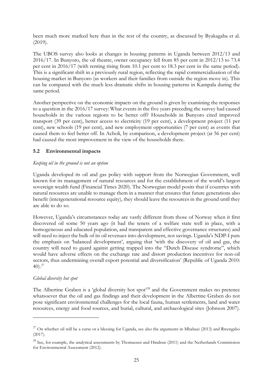been much more marked here than in the rest of the country, as discussed by Byakagaba et al. (2019).

The UBOS survey also looks at changes in housing patterns in Uganda between 2012/13 and 2016/17. In Bunyoro, the oil theatre, owner occupancy fell from 85 per cent in 2012/13 to 73.4 per cent in 2016/17 (with renting rising from 10.1 per cent to 18.3 per cent in the same period). This is a significant shift in a previously rural region, reflecting the rapid commercialization of the housing market in Bunyoro (as workers and their families from outside the region move in). This can be compared with the much less dramatic shifts in housing patterns in Kampala during the same period.

Another perspective on the economic impacts on the ground is given by examining the responses to a question in the 2016/17 survey: What events in the five years preceding the survey had caused households in the various regions to be better off? Households in Bunyoro cited improved transport (39 per cent), better access to electricity (19 per cent), a development project (11 per cent), new schools (19 per cent), and new employment opportunities (7 per cent) as events that caused them to feel better off. In Acholi, by comparison, a development project (at 56 per cent) had caused the most improvement in the view of the households there.

# **5.2 Environmental impacts**

# *Keeping oil in the ground is not an option*

Uganda developed its oil and gas policy with support from the Norwegian Government, well known for its management of natural resources and for the establishment of the world's largest sovereign wealth fund (Financial Times 2020). The Norwegian model posits that if countries with natural resources are unable to manage them in a manner that ensures that future generations also benefit (intergenerational resource equity), they should leave the resources in the ground until they are able to do so.

However, Uganda's circumstances today are vastly different from those of Norway when it first discovered oil some 50 years ago (it had the tenets of a welfare state well in place, with a homogeneous and educated population, and transparent and effective governance structures) and will need to inject the bulk of its oil revenues into development, not savings. Uganda's NDP-I puts the emphasis on 'balanced development', arguing that 'with the discovery of oil and gas, the country will need to guard against getting trapped into the "Dutch Disease syndrome", which would have adverse effects on the exchange rate and distort production incentives for non-oil sectors, thus undermining overall export potential and diversification' (Republic of Uganda 2010: 40). [27](#page-26-0)

# *Global diversity hot spot*

The Albertine Graben is a 'global diversity hot spot<sup>[28](#page-26-1)</sup> and the Government makes no pretence whatsoever that the oil and gas findings and their development in the Albertine Graben do not pose significant environmental challenges for the local fauna, human settlements, land and water resources, energy and food sources, and burial, cultural, and archaeological sites (Johnson 2007).

<span id="page-26-0"></span> $^{27}$  On whether oil will be a curse or a blessing for Uganda, see also the arguments in Mbabazi (2013) and Rwengabo (2017).

<span id="page-26-1"></span><sup>&</sup>lt;sup>28</sup> See, for example, the analytical assessments by Thomassen and Hindrun (2011) and the Netherlands Commission for Environmental Assessment (2012).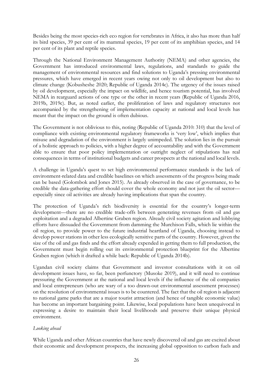Besides being the most species-rich eco region for vertebrates in Africa, it also has more than half its bird species, 39 per cent of its mammal species, 19 per cent of its amphibian species, and 14 per cent of its plant and reptile species.

Through the National Environment Management Authority (NEMA) and other agencies, the Government has introduced environmental laws, regulations, and standards to guide the management of environmental resources and find solutions to Uganda's pressing environmental pressures, which have emerged in recent years owing not only to oil development but also to climate change (Kobusheshe 2020; Republic of Uganda 2014c). The urgency of the issues raised by oil development, especially the impact on wildlife, and hence tourism potential, has involved NEMA in rearguard actions of one type or the other in recent years (Republic of Uganda 2016, 2019b, 2019c). But, as noted earlier, the proliferation of laws and regulatory structures not accompanied by the strengthening of implementation capacity at national and local levels has meant that the impact on the ground is often dubious.

The Government is not oblivious to this, noting (Republic of Uganda 2010: 310) that the level of compliance with existing environmental regulatory frameworks is 'very low', which implies that misuse and degradation of the environment is largely unimpeded. The solution lies in the pursuit of a holistic approach to policies, with a higher degree of accountability and with the Government able to ensure that poor policy implementation or outright neglect of stipulations has real consequences in terms of institutional budgets and career prospects at the national and local levels.

A challenge in Uganda's quest to set high environmental performance standards is the lack of environment-related data and credible baselines on which assessments of the progress being made can be based (Golombok and Jones 2015). As already observed in the case of governance, to be credible the data-gathering effort should cover the whole economy and not just the oil sector especially since oil activities are already having implications that span the country.

The protection of Uganda's rich biodiversity is essential for the country's longer-term development—there are no credible trade-offs between generating revenues from oil and gas exploitation and a degraded Albertine Graben region. Already civil society agitation and lobbying efforts have dissuaded the Government from damming the Murchison Falls, which lie within the oil region, to provide power to the future industrial heartland of Uganda, choosing instead to develop power stations in other less ecologically sensitive parts of the country. However, given the size of the oil and gas finds and the effort already expended in getting them to full production, the Government must begin rolling out its environmental protection blueprint for the Albertine Graben region (which it drafted a while back: Republic of Uganda 2014b).

Ugandan civil society claims that Government and investor consultations with it on oil development issues have, so far, been perfunctory (Musoke 2019), and it will need to continue pressuring the Government at the national and local levels if the influence of the oil companies and local entrepreneurs (who are wary of a too drawn-out environmental assessment processes) on the resolution of environmental issues is to be countered. The fact that the oil region is adjacent to national game parks that are a major tourist attraction (and hence of tangible economic value) has become an important bargaining point. Likewise, local populations have been unequivocal in expressing a desire to maintain their local livelihoods and preserve their unique physical environment.

# *Looking ahead*

While Uganda and other African countries that have newly discovered oil and gas are excited about their economic and development prospects, the increasing global opposition to carbon fuels and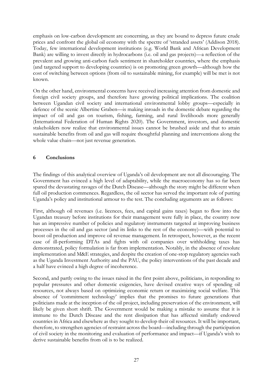emphasis on low-carbon development are concerning, as they are bound to depress future crude prices and confront the global oil economy with the spectre of 'stranded assets' (Addison 2018). Today, few international development institutions (e.g. World Bank and African Development Bank) are willing to invest directly in hydrocarbons (i.e. oil and gas projects)—a reflection of the prevalent and growing anti-carbon fuels sentiment in shareholder countries, where the emphasis (and targeted support to developing countries) is on promoting green growth—although how the cost of switching between options (from oil to sustainable mining, for example) will be met is not known.

On the other hand, environmental concerns have received increasing attention from domestic and foreign civil society groups, and therefore have growing political implications. The coalition between Ugandan civil society and international environmental lobby groups—especially in defence of the scenic Albertine Graben—is making inroads in the domestic debate regarding the impact of oil and gas on tourism, fishing, farming, and rural livelihoods more generally (International Federation of Human Rights 2020). The Government, investors, and domestic stakeholders now realize that environmental issues cannot be brushed aside and that to attain sustainable benefits from oil and gas will require thoughtful planning and interventions along the whole value chain—not just revenue generation.

# **6 Conclusions**

The findings of this analytical overview of Uganda's oil development are not all discouraging. The Government has evinced a high level of adaptability, while the macroeconomy has so far been spared the devastating ravages of the Dutch Disease—although the story might be different when full oil production commences. Regardless, the oil sector has served the important role of putting Uganda's policy and institutional armour to the test. The concluding arguments are as follows:

First, although oil revenues (i.e. licences, fees, and capital gains taxes) began to flow into the Ugandan treasury before institutions for their management were fully in place, the country now has an impressive number of policies and regulatory instruments targeted at improving business processes in the oil and gas sector (and its links to the rest of the economy)—with potential to boost oil production and improve oil revenue management. In retrospect, however, as the recent case of ill-performing DTAs and fights with oil companies over withholding taxes has demonstrated, policy formulation is far from implementation. Notably, in the absence of resolute implementation and M&E strategies, and despite the creation of one-stop regulatory agencies such as the Uganda Investment Authority and the PAU, the policy interventions of the past decade and a half have evinced a high degree of incoherence.

Second, and partly owing to the issues raised in the first point above, politicians, in responding to popular pressures and other domestic exigencies, have devised creative ways of spending oil resources, not always based on optimizing economic return or maximizing social welfare. This absence of 'commitment technology' implies that the promises to future generations that politicians made at the inception of the oil project, including preservation of the environment, will likely be given short shrift. The Government would be making a mistake to assume that it is immune to the Dutch Disease and the rent dissipation that has affected similarly endowed countries in Africa and elsewhere as they sought to develop their oil resources. It will be important, therefore, to strengthen agencies of restraint across the board—including through the participation of civil society in the monitoring and evaluation of performance and impact—if Uganda's wish to derive sustainable benefits from oil is to be realized.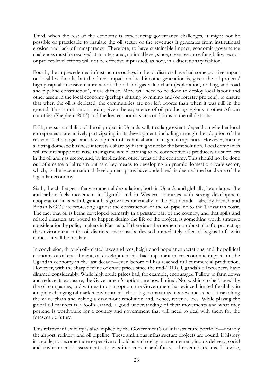Third, when the rest of the economy is experiencing governance challenges, it might not be possible or practicable to insulate the oil sector or the revenues it generates from institutional erosion and lack of transparency. Therefore, to have sustainable impact, economic governance challenges must be resolved at an integrated, national level, since, given resource fungibility, sectoror project-level efforts will not be effective if pursued, as now, in a discretionary fashion.

Fourth, the unprecedented infrastructure outlays in the oil districts have had some positive impact on local livelihoods, but the direct impact on local income generation is, given the oil projects' highly capital-intensive nature across the oil and gas value chain (exploration, drilling, and road and pipeline construction), more diffuse. More will need to be done to deploy local labour and other assets in the local economy (perhaps shifting to mining and/or forestry projects), to ensure that when the oil is depleted, the communities are not left poorer than when it was still in the ground. This is not a moot point, given the experience of oil-producing regions in other African countries (Shepherd 2013) and the low economic start conditions in the oil districts.

Fifth, the sustainability of the oil project in Uganda will, to a large extent, depend on whether local entrepreneurs are actively participating in its development, including through the adoption of the relevant technologies and development of technical and managerial capacities. However, merely allotting domestic business interests a share by fiat might not be the best solution. Local companies will require support to raise their game while learning to be competitive as producers or suppliers in the oil and gas sector, and, by implication, other areas of the economy. This should not be done out of a sense of altruism but as a key means to developing a dynamic domestic private sector, which, as the recent national development plans have underlined, is deemed the backbone of the Ugandan economy.

Sixth, the challenges of environmental degradation, both in Uganda and globally, loom large. The anti-carbon-fuels movement in Uganda and in Western countries with strong development cooperation links with Uganda has grown exponentially in the past decade—already French and British NGOs are protesting against the construction of the oil pipeline to the Tanzanian coast. The fact that oil is being developed primarily in a pristine part of the country, and that spills and related disasters are bound to happen during the life of the project, is something worth strategic consideration by policy-makers in Kampala. If there is at the moment no robust plan for protecting the environment in the oil districts, one must be devised immediately; after oil begins to flow in earnest, it will be too late.

In conclusion, through oil-related taxes and fees, heightened popular expectations, and the political economy of oil encashment, oil development has had important macroeconomic impacts on the Ugandan economy in the last decade—even before oil has reached full commercial production. However, with the sharp decline of crude prices since the mid-2010s, Uganda's oil prospects have dimmed considerably. While high crude prices had, for example, encouraged Tullow to farm down and reduce its exposure, the Government's options are now limited. Not wishing to be 'played' by the oil companies, and with exit not an option, the Government has evinced limited flexibility in a rapidly changing oil market environment, choosing to maximize tax revenue as best it can along the value chain and risking a drawn-out resolution and, hence, revenue loss. While playing the global oil markets is a fool's errand, a good understanding of their movements and what they portend is worthwhile for a country and government that will need to deal with them for the foreseeable future.

This relative inflexibility is also implied by the Government's oil infrastructure portfolio—notably the airport, refinery, and oil pipeline. These ambitious infrastructure projects are bound, if history is a guide, to become more expensive to build as each delay in procurement, inputs delivery, social and environmental assessment, etc. eats into current and future oil revenue streams. Likewise,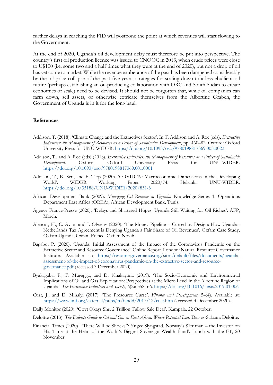further delays in reaching the FID will postpone the point at which revenues will start flowing to the Government.

At the end of 2020, Uganda's oil development delay must therefore be put into perspective. The country's first oil production licence was issued to CNOOC in 2013, when crude prices were close to U\$100 (i.e. some two and a half times what they were at the end of 2020), but not a drop of oil has yet come to market. While the revenue exuberance of the past has been dampened considerably by the oil price collapse of the past five years, strategies for scaling down to a less ebullient oil future (perhaps establishing an oil-producing collaboration with DRC and South Sudan to create economies of scale) need to be devised. It should not be forgotten that, while oil companies can farm down, sell assets, or otherwise extricate themselves from the Albertine Graben, the Government of Uganda is in it for the long haul.

### **References**

- Addison, T. (2018). 'Climate Change and the Extractives Sector'. In T. Addison and A. Roe (eds), *Extractive Industries: the Management of Resources as a Driver of Sustainable Development*, pp. 460–82. Oxford: Oxford University Press for UNU-WIDER. <https://doi.org/10.1093/oso/9780198817369.003.0022>
- Addison, T., and A. Roe (eds) (2018). *Extractive Industries: the Management of Resources as a Driver of Sustainable Development*. Oxford: Oxford University Press for UNU-WIDER. <https://doi.org/10.1093/oso/9780198817369.001.0001>
- Addison, T., K. Sen, and F. Tarp (2020). 'COVID-19: Macroeconomic Dimensions in the Developing World'. WIDER Working Paper 2020/74. Helsinki: UNU-WIDER. <https://doi.org/10.35188/UNU-WIDER/2020/831-3>
- African Development Bank (2009). *Managing Oil Revenue in Uganda*. Knowledge Series 1. Operations Department East Africa (OREA), African Development Bank, Tunis.
- Agence France-Presse (2020). 'Delays and Shattered Hopes: Uganda Still Waiting for Oil Riches'. AFP, March.
- Alencar, H., C. Avan, and J. Olweny (2020). 'The Money Pipeline Cursed by Design: How Uganda– Netherlands Tax Agreement is Denying Uganda a Fair Share of Oil Revenues'. Oxfam Case Study, Oxfam Uganda, Oxfam France, Oxfam Novib.
- Bagabo, P. (2020). 'Uganda: Initial Assessment of the Impact of the Coronavirus Pandemic on the Extractive Sector and Resource Governance'. Online Report. London: Natural Resource Governance Institute. Available at: [https://resourcegovernance.org/sites/default/files/documents/uganda](https://resourcegovernance.org/sites/default/files/documents/uganda-assessment-of-the-impact-of-coronavirus-pandemic-on-the-extractive-sector-and-resource-governance.pdf)[assessment-of-the-impact-of-coronavirus-pandemic-on-the-extractive-sector-and-resource](https://resourcegovernance.org/sites/default/files/documents/uganda-assessment-of-the-impact-of-coronavirus-pandemic-on-the-extractive-sector-and-resource-governance.pdf)[governance.pdf](https://resourcegovernance.org/sites/default/files/documents/uganda-assessment-of-the-impact-of-coronavirus-pandemic-on-the-extractive-sector-and-resource-governance.pdf) (accessed 3 December 2020).
- Byakagaba, P., F. Mugagga, and D. Nnakayima (2019). 'The Socio-Economic and Environmental Implications of Oil and Gas Exploitation: Perspectives at the Micro Level in the Albertine Region of Uganda'. *The Extractive Industries and Society*, 6(2): 358–66. <https://doi.org/10.1016/j.exis.2019.01.006>
- Cust, J., and D. Mihalyi (2017). 'The Presource Curse'. *Finance and Development*, 54(4). Available at: <https://www.imf.org/external/pubs/ft/fandd/2017/12/cust.htm> (accessed 3 December 2020).
- Daily Monitor (2020). 'Govt Okays Shs. 2 Trillion Tullow Sale Deal'. Kampala, 22 October.
- Deloitte (2013). *The Deloitte Guide to Oil and Gas in East Africa: Where Potential Lies*. Dar-es-Salaam: Deloitte.
- Financial Times (2020) '"There Will be Shocks": Yngve Slyngstad, Norway's \$1tr man the Investor on His Time at the Helm of the World's Biggest Sovereign Wealth Fund'. Lunch with the FT, 20 November.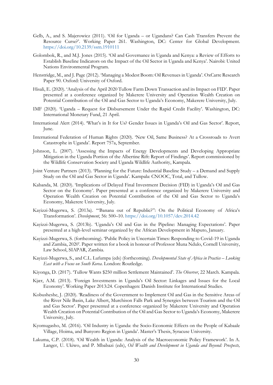- Gelb, A., and S. Majerowicz (2011). 'Oil for Uganda or Ugandans? Can Cash Transfers Prevent the Resource Curse?'. Working Paper 261. Washington, DC: Center for Global Development. <https://doi.org/10.2139/ssrn.1910111>
- Golombok, R., and M.J. Jones (2015). 'Oil and Governance in Uganda and Kenya: a Review of Efforts to Establish Baseline Indicators on the Impact of the Oil Sector in Uganda and Kenya'. Nairobi: United Nations Environmental Program.
- Henstridge, M., and J. Page (2012). 'Managing a Modest Boom: Oil Revenues in Uganda'. OxCarre Research Paper 90. Oxford: University of Oxford.
- Hisali, E. (2020). 'Analysis of the April 2020 Tullow Farm Down Transaction and its Impact on FID'. Paper presented at a conference organized by Makerere University and Operation Wealth Creation on Potential Contribution of the Oil and Gas Sector to Uganda's Economy, Makerere University, July.
- IMF (2020). 'Uganda Request for Disbursement Under the Rapid Credit Facility'. Washington, DC: International Monetary Fund, 21 April.
- International Alert (2014). 'What's in It for Us? Gender Issues in Uganda's Oil and Gas Sector'. Report, June.
- International Federation of Human Rights (2020). 'New Oil, Same Business? At a Crossroads to Avert Catastrophe in Uganda'. Report 757a, September.
- Johnson, L. (2007). 'Assessing the Impacts of Energy Developments and Developing Appropriate Mitigation in the Uganda Portion of the Albertine Rift: Report of Findings'. Report commissioned by the Wildlife Conservation Society and Uganda Wildlife Authority, Kampala.
- Joint Venture Partners (2013). 'Planning for the Future: Industrial Baseline Study a Demand and Supply Study on the Oil and Gas Sector in Uganda'. Kampala: CNOOC, Total, and Tullow.
- Kabanda, M. (2020). 'Implications of Delayed Final Investment Decision (FID) in Uganda's Oil and Gas Sector on the Economy'. Paper presented at a conference organized by Makerere University and Operation Wealth Creation on Potential Contribution of the Oil and Gas Sector to Uganda's Economy, Makerere University, July.
- Kayizzi-Mugerwa, S. (2013a). '"Banana out of Republic?": On the Political Economy of Africa's Transformation'. *Development*, 56: 500–10. <https://doi.org/10.1057/dev.2014.42>
- Kayizzi-Mugerwa, S. (2013b). 'Uganda's Oil and Gas in the Pipeline: Managing Expectations'. Paper presented at a high-level seminar organized by the African Development in Maputo, January.
- Kayizzi-Mugerwa, S. (forthcoming). 'Public Policy in Uncertain Times: Responding to Covid-19 in Uganda and Zambia, 2020'. Paper written for a book in honour of Professor Muna Ndulo, Cornell University, Law School, SIAPAR, Zambia.
- Kayizzi-Mugerwa, S., and C.L. Lufumpa (eds) (forthcoming). *Developmental State of Africa in Practice – Looking East with a Focus on South Korea*. London: Routledge.
- Kiyonga, D. (2017). 'Tullow Wants \$250 million Settlement Maintained'. *The Observer*, 22 March. Kampala.
- Kjær, A.M. (2013). 'Foreign Investments in Uganda's Oil Sector: Linkages and Issues for the Local Economy'. Working Paper 2013:24. Copenhagen: Danish Institute for International Studies.
- Kobusheshe, J. (2020). 'Readiness of the Government to Implement Oil and Gas in the Sensitive Areas of the River Nile Basin, Lake Albert, Murchison Falls Park and Synergies between Tourism and the Oil and Gas Sector'. Paper presented at a conference organized by Makerere University and Operation Wealth Creation on Potential Contribution of the Oil and Gas Sector to Uganda's Economy, Makerere University, July.
- Kyomugasho, M. (2016). 'Oil Industry in Uganda: the Socio-Economic Effects on the People of Kabaale Village, Hoima, and Bunyoro Region in Uganda'. Master's Thesis, Syracuse University.
- Lakuma, C.P. (2018). 'Oil Wealth in Uganda: Analysis of the Macroeconomic Policy Framework'. In A. Langer, U. Ukiwo, and P. Mbabazi (eds), *Oil Wealth and Development in Uganda and Beyond: Prospects,*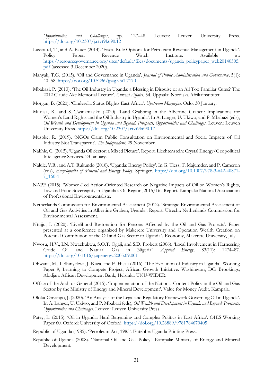*Opportunities, and Challenges*, pp. 127–48. Leuven: Leuven University Press. <https://doi.org/10.2307/j.ctvt9k690.12>

- Lassourd, T., and A. Bauer (2014). 'Fiscal Rule Options for Petroleum Revenue Management in Uganda'. Policy Paper. Revenue Watch Institute. Available at: [https://resourcegovernance.org/sites/default/files/documents/uganda\\_policypaper\\_web20140505.](https://resourcegovernance.org/sites/default/files/documents/uganda_policypaper_web20140505.pdf) [pdf](https://resourcegovernance.org/sites/default/files/documents/uganda_policypaper_web20140505.pdf) (accessed 3 December 2020).
- Manyak, T.G. (2015). 'Oil and Governance in Uganda'. *Journal of Public Administration and Governance*, 5(1): 40–58. <https://doi.org/10.5296/jpag.v5i1.7170>
- Mbabazi, P. (2013). 'The Oil Industry in Uganda: a Blessing in Disguise or an All Too Familiar Curse? The 2012 Claude Ake Memorial Lecture'. *Current Affairs*, 54. Uppsala: Nordiska Afrikainstitutet.
- Morgan, B. (2020). 'Cinderella Status Blights East Africa'. *Upstream Magazine*. Oslo. 30 January.
- Muriisa, R., and S. Twinamasiko (2020). 'Land Grabbing in the Albertine Graben: Implications for Women's Land Rights and the Oil Industry in Uganda'. In A. Langer, U. Ukiwo, and P. Mbabazi (eds), *Oil Wealth and Development in Uganda and Beyond: Prospects, Opportunities and Challenges*. Leuven: Leuven University Press. <https://doi.org/10.2307/j.ctvt9k690.17>
- Musoke, R. (2019). 'NGOs Claim Public Consultation on Environmental and Social Impacts of Oil Industry Not Transparent'. *The Independent*, 29 November.
- Nakhle, C. (2015). 'Uganda Oil Sector: a Mixed Picture'. Report. Liechtenstein: Crystal Energy/Geopolitical Intelligence Services. 23 January.
- Nalule, V.R., and A.T. Rukundo (2018). 'Uganda: Energy Policy'. In G. Tiess, T. Majumder, and P. Cameron (eds), *Encyclopedia of Mineral and Energy Policy*. Springer. [https://doi.org/10.1007/978-3-642-40871-](https://doi.org/10.1007/978-3-642-40871-7_160-1) [7\\_160-1](https://doi.org/10.1007/978-3-642-40871-7_160-1)
- NAPE (2015). 'Women-Led Action-Oriented Research on Negative Impacts of Oil on Women's Rights, Law and Food Sovereignty in Uganda's Oil Region, 2015/16'. Report. Kampala: National Association of Professional Environmentalists.
- Netherlands Commission for Environmental Assessment (2012). 'Strategic Environmental Assessment of Oil and Gas Activities in Albertine Graben, Uganda'. Report. Utrecht: Netherlands Commission for Environmental Assessment.
- Ntujju, I. (2020). 'Livelihood Restoration for Persons Affected by the Oil and Gas Projects'. Paper presented at a conference organized by Makerere University and Operation Wealth Creation on Potential Contribution of the Oil and Gas Sector to Uganda's Economy, Makerere University, July.
- Nwosu, H.V., I.N. Nwachukwu, S.O.T. Ogaji, and S.D. Probert (2006). 'Local Involvement in Harnessing Crude Oil and Natural Gas in Nigeria'. *Applied Energy*, 83(11): 1274–87. <https://doi.org/10.1016/j.apenergy.2005.09.001>
- Obwana, M., I. Shinyekwa, J. Kiiza, and E. Hisali (2016). 'The Evolution of Industry in Uganda'. Working Paper 9, Learning to Compete Project, African Growth Initiative. Washington, DC: Brookings; Abidjan: African Development Bank; Helsinki: UNU-WIDER.
- Office of the Auditor General (2015). 'Implementation of the National Content Policy in the Oil and Gas Sector by the Ministry of Energy and Mineral Development'. Value for Money Audit. Kampala.
- Oloka-Onyango, J. (2020). 'An Analysis of the Legal and Regulatory Framework Governing Oil in Uganda'. In A. Langer, U. Ukiwo, and P. Mbabazi (eds), *Oil Wealth and Development in Uganda and Beyond: Prospects, Opportunities and Challenges*. Leuven: Leuven University Press.
- Patey, L. (2015). 'Oil in Uganda: Hard Bargaining and Complex Politics in East Africa'. OIES Working Paper 60. Oxford: University of Oxford. <https://doi.org/10.26889/9781784670405>
- Republic of Uganda (1985). 'Petroleum Act, 1985'. Entebbe: Uganda Printing Press.
- Republic of Uganda (2008). 'National Oil and Gas Policy'. Kampala: Ministry of Energy and Mineral Development.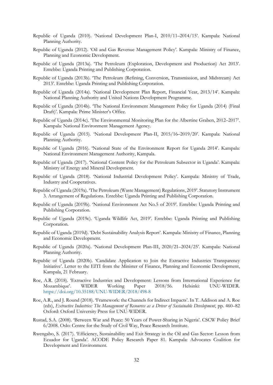- Republic of Uganda (2010). 'National Development Plan-I, 2010/11–2014/15'. Kampala: National Planning Authority.
- Republic of Uganda (2012). 'Oil and Gas Revenue Management Policy'. Kampala: Ministry of Finance, Planning and Economic Development.
- Republic of Uganda (2013a). 'The Petroleum (Exploration, Development and Production) Act 2013'. Entebbe: Uganda Printing and Publishing Corporation.
- Republic of Uganda (2013b). 'The Petroleum (Refining, Conversion, Transmission, and Midstream) Act 2013'. Entebbe: Uganda Printing and Publishing Corporation.
- Republic of Uganda (2014a). 'National Development Plan Report, Financial Year, 2013/14'. Kampala: National Planning Authority and United Nations Development Programme.
- Republic of Uganda (2014b). 'The National Environment Management Policy for Uganda (2014) (Final Draft)'. Kampala: Prime Minister's Office.
- Republic of Uganda (2014c). 'The Environmental Monitoring Plan for the Albertine Graben, 2012–2017'. Kampala: National Environment Management Agency.
- Republic of Uganda (2015). 'National Development Plan-II, 2015/16–2019/20'. Kampala: National Planning Authority.
- Republic of Uganda (2016). 'National State of the Environment Report for Uganda 2014'. Kampala: National Environment Management Authority, Kampala.
- Republic of Uganda (2017). 'National Content Policy for the Petroleum Subsector in Uganda'. Kampala: Ministry of Energy and Mineral Development.
- Republic of Uganda (2018). 'National Industrial Development Policy'. Kampala: Ministry of Trade, Industry and Cooperatives.
- Republic of Uganda (2019a). 'The Petroleum (Waste Management) Regulations, 2019'. Statutory Instrument 3. Arrangement of Regulations. Entebbe: Uganda Printing and Publishing Corporation.
- Republic of Uganda (2019b). 'National Environment Act No.5 of 2019'. Entebbe: Uganda Printing and Publishing Corporation.
- Republic of Uganda (2019c). 'Uganda Wildlife Act, 2019'. Entebbe: Uganda Printing and Publishing Corporation.
- Republic of Uganda (2019d). 'Debt Sustainability Analysis Report'. Kampala: Ministry of Finance, Planning and Economic Development.
- Republic of Uganda (2020a). 'National Development Plan-III, 2020/21–2024/25'. Kampala: National Planning Authority.
- Republic of Uganda (2020b). 'Candidate Application to Join the Extractive Industries Transparency Initiative'. Letter to the EITI from the Minister of Finance, Planning and Economic Development, Kampala, 21 February.
- Roe, A.R. (2018). 'Extractive Industries and Development: Lessons from International Experience for Mozambique'. WIDER Working Paper 2018/56. Helsinki: UNU-WIDER. <https://doi.org/10.35188/UNU-WIDER/2018/498-8>
- Roe, A.R., and J. Round (2018). 'Framework: the Channels for Indirect Impacts'. In T. Addison and A. Roe (eds), *Extractive Industries: The Management of Resources as a Driver of Sustainable Development*, pp. 460–82 Oxford: Oxford University Press for UNU-WIDER.
- Rustad, S.A. (2008). 'Between War and Peace: 50 Years of Power-Sharing in Nigeria'. CSCW Policy Brief 6/2008. Oslo: Centre for the Study of Civil Way, Peace Research Institute.
- Rwengabo, S. (2017). 'Efficiency, Sustainability and Exit Strategy in the Oil and Gas Sector: Lesson from Ecuador for Uganda'. ACODE Policy Research Paper 81. Kampala: Advocates Coalition for Development and Environment.